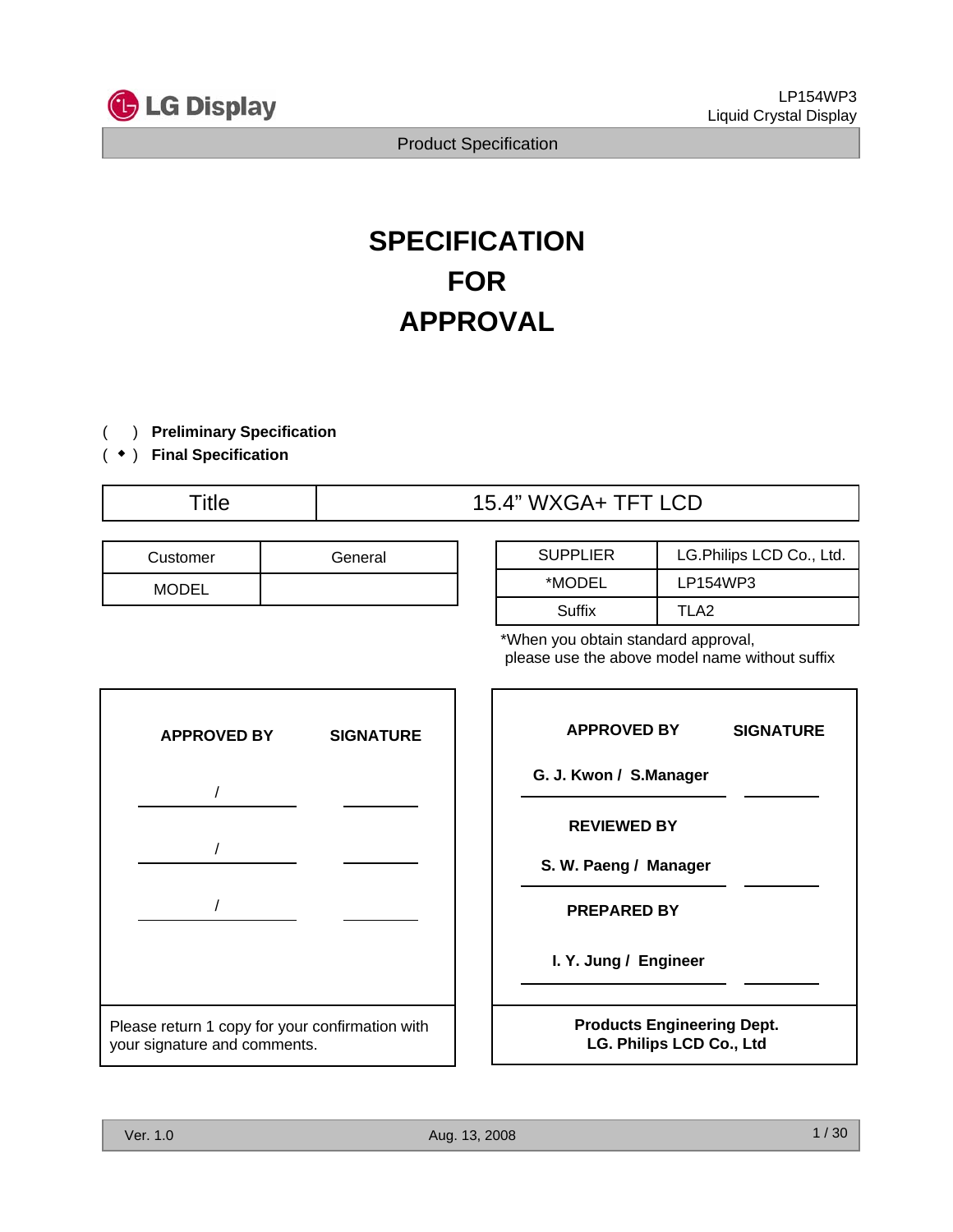

# **SPECIFICATION FOR APPROVAL**

- ) **Preliminary Specification** (
- ) ( **Final Specification** ◆

# Title 15.4" WXGA+ TFT LCD

| Customer     | General |
|--------------|---------|
| <b>MODEL</b> |         |

| <b>SUPPLIER</b> | LG.Philips LCD Co., Ltd. |  |  |
|-----------------|--------------------------|--|--|
| *MODEL          | LP154WP3                 |  |  |
| Suffix          | TI A2                    |  |  |

\*When you obtain standard approval, please use the above model name without suffix

| <b>APPROVED BY</b>                                                              | <b>SIGNATURE</b> |  |  |  |  |
|---------------------------------------------------------------------------------|------------------|--|--|--|--|
|                                                                                 |                  |  |  |  |  |
|                                                                                 |                  |  |  |  |  |
|                                                                                 |                  |  |  |  |  |
|                                                                                 |                  |  |  |  |  |
|                                                                                 |                  |  |  |  |  |
| Please return 1 copy for your confirmation with<br>your signature and comments. |                  |  |  |  |  |

| <b>APPROVED BY</b>                                            | <b>SIGNATURE</b> |
|---------------------------------------------------------------|------------------|
| G. J. Kwon / S.Manager                                        |                  |
| <b>REVIEWED BY</b>                                            |                  |
| S. W. Paeng / Manager                                         |                  |
| <b>PREPARED BY</b>                                            |                  |
| I. Y. Jung / Engineer                                         |                  |
| <b>Products Engineering Dept.</b><br>LG. Philips LCD Co., Ltd |                  |

Г

٦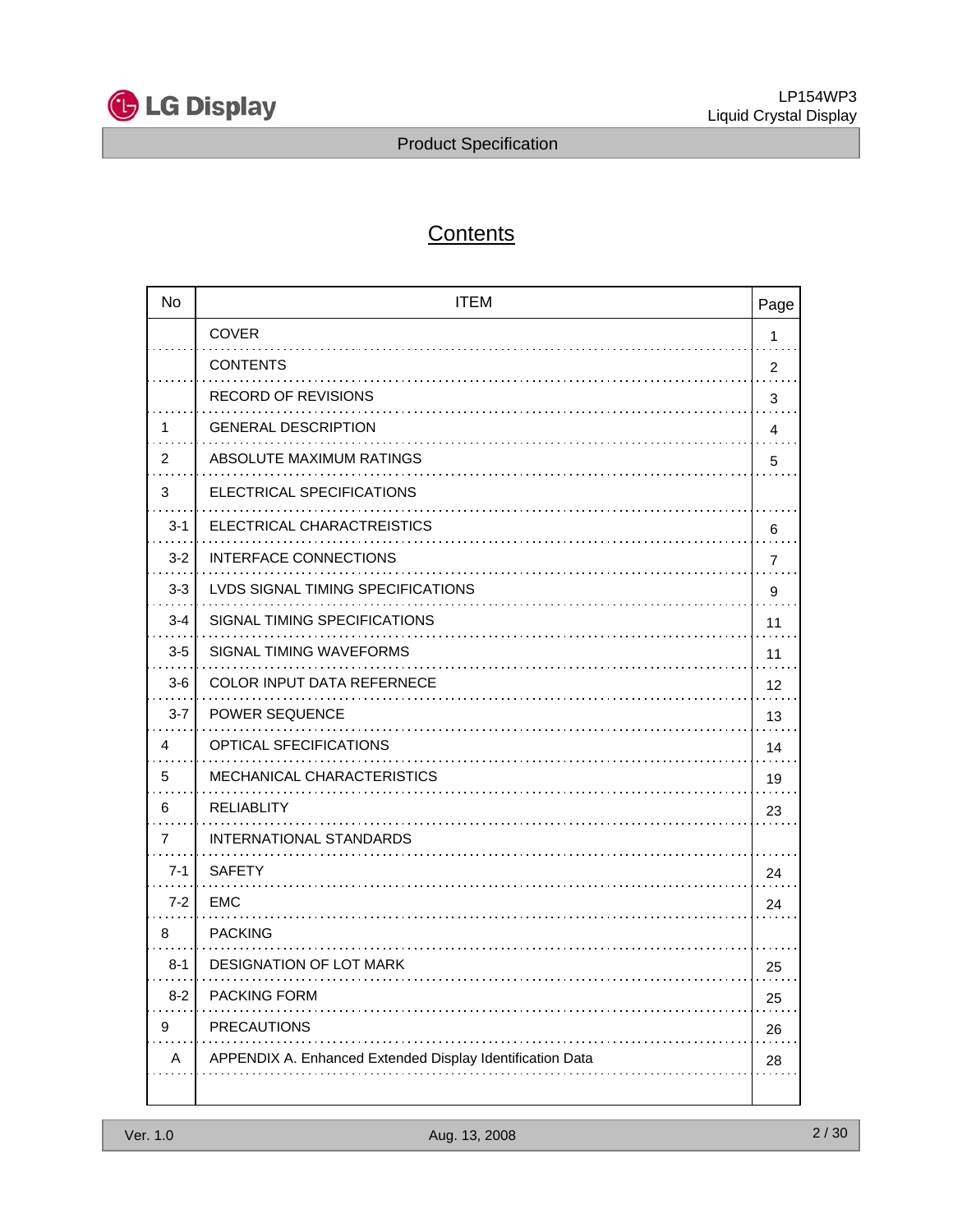

# **Contents**

| <b>No</b> | <b>ITEM</b>                                               | Page |
|-----------|-----------------------------------------------------------|------|
|           | <b>COVER</b>                                              | 1    |
|           | <b>CONTENTS</b>                                           | 2    |
|           | <b>RECORD OF REVISIONS</b>                                | 3    |
| 1         | <b>GENERAL DESCRIPTION</b>                                | 4    |
| 2         | ABSOLUTE MAXIMUM RATINGS                                  | 5    |
| 3         | ELECTRICAL SPECIFICATIONS                                 |      |
| $3 - 1$   | ELECTRICAL CHARACTREISTICS                                | 6    |
| $3 - 2$   | <b>INTERFACE CONNECTIONS</b>                              | 7    |
| $3-3$     | LVDS SIGNAL TIMING SPECIFICATIONS                         | 9    |
| $3 - 4$   | SIGNAL TIMING SPECIFICATIONS                              | 11   |
| $3-5$     | SIGNAL TIMING WAVEFORMS                                   | 11   |
| $3-6$     | <b>COLOR INPUT DATA REFERNECE</b>                         | 12   |
| $3 - 7$   | <b>POWER SEQUENCE</b>                                     | 13   |
| 4         | <b>OPTICAL SFECIFICATIONS</b>                             | 14   |
| 5         | MECHANICAL CHARACTERISTICS                                | 19   |
| 6         | <b>RELIABLITY</b>                                         | 23   |
| 7         | INTERNATIONAL STANDARDS                                   |      |
| $7 - 1$   | <b>SAFETY</b>                                             | 24   |
| $7 - 2$   | <b>EMC</b>                                                | 24   |
| 8         | <b>PACKING</b>                                            |      |
| $8 - 1$   | DESIGNATION OF LOT MARK                                   | 25   |
| $8 - 2$   | PACKING FORM                                              | 25   |
| 9         | <b>PRECAUTIONS</b>                                        | 26   |
| Α         | APPENDIX A. Enhanced Extended Display Identification Data | 28   |
|           |                                                           |      |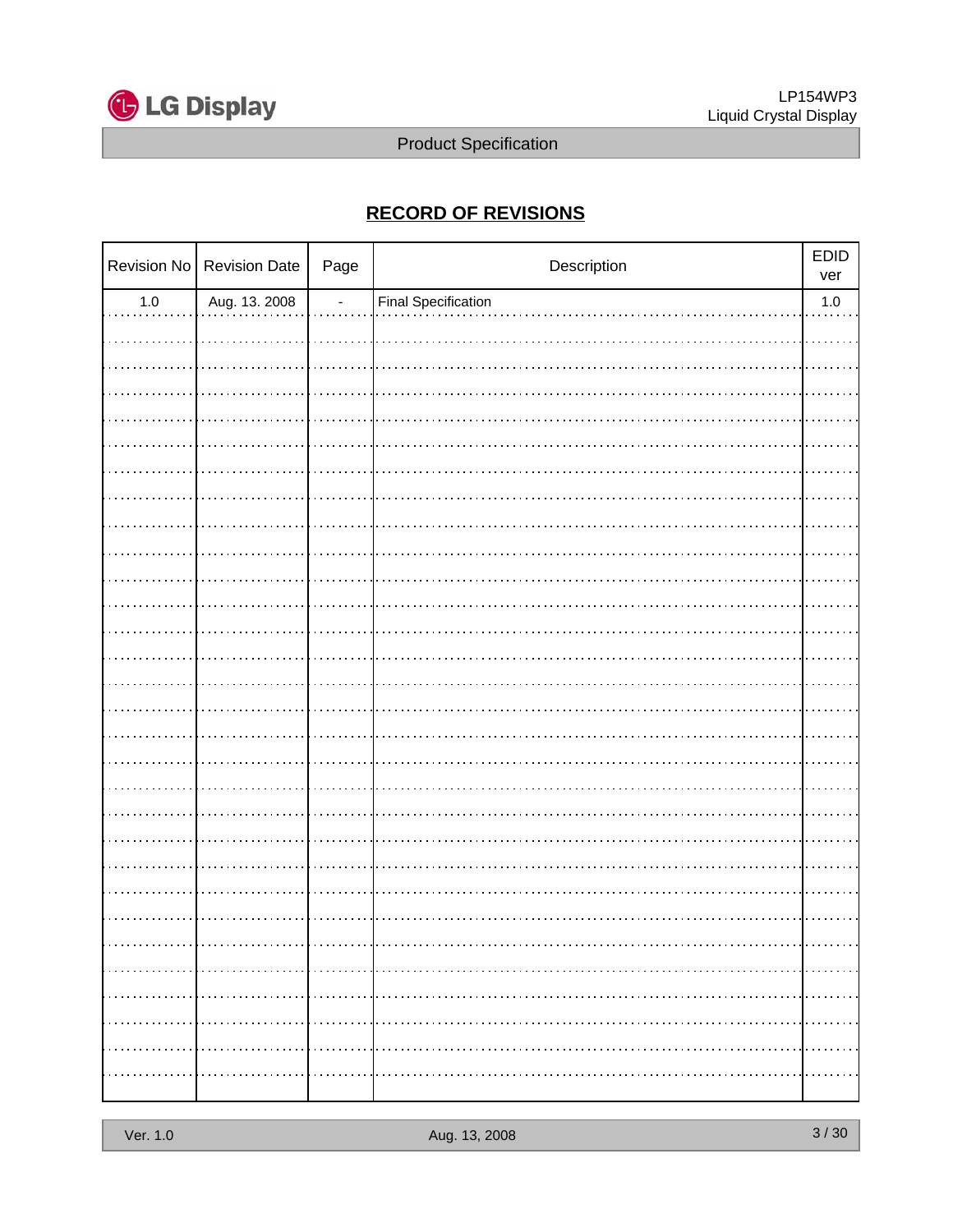

### **RECORD OF REVISIONS**

|         | Revision No Revision Date | Page | EDID<br>Description        |         |
|---------|---------------------------|------|----------------------------|---------|
| $1.0\,$ | Aug. 13. 2008             | ÷,   | <b>Final Specification</b> | $1.0\,$ |
|         |                           |      |                            |         |
|         |                           |      |                            |         |
|         |                           |      |                            |         |
|         |                           |      |                            |         |
|         |                           |      |                            |         |
|         |                           |      |                            |         |
|         |                           |      |                            |         |
|         |                           |      |                            |         |
|         |                           |      |                            |         |
|         |                           |      |                            |         |
|         |                           |      |                            |         |
|         |                           |      |                            |         |
|         |                           |      |                            |         |
|         |                           |      |                            |         |
|         |                           |      |                            |         |
|         |                           |      |                            |         |
|         |                           |      |                            |         |
|         |                           |      |                            |         |
|         |                           |      |                            |         |
|         |                           |      |                            |         |
|         |                           |      |                            |         |
|         |                           |      |                            |         |
|         |                           |      |                            |         |
|         |                           |      |                            |         |
|         |                           |      |                            |         |
|         |                           |      |                            |         |
|         |                           |      |                            |         |
|         |                           |      |                            |         |
|         |                           |      |                            |         |
|         |                           |      |                            |         |
|         |                           |      |                            |         |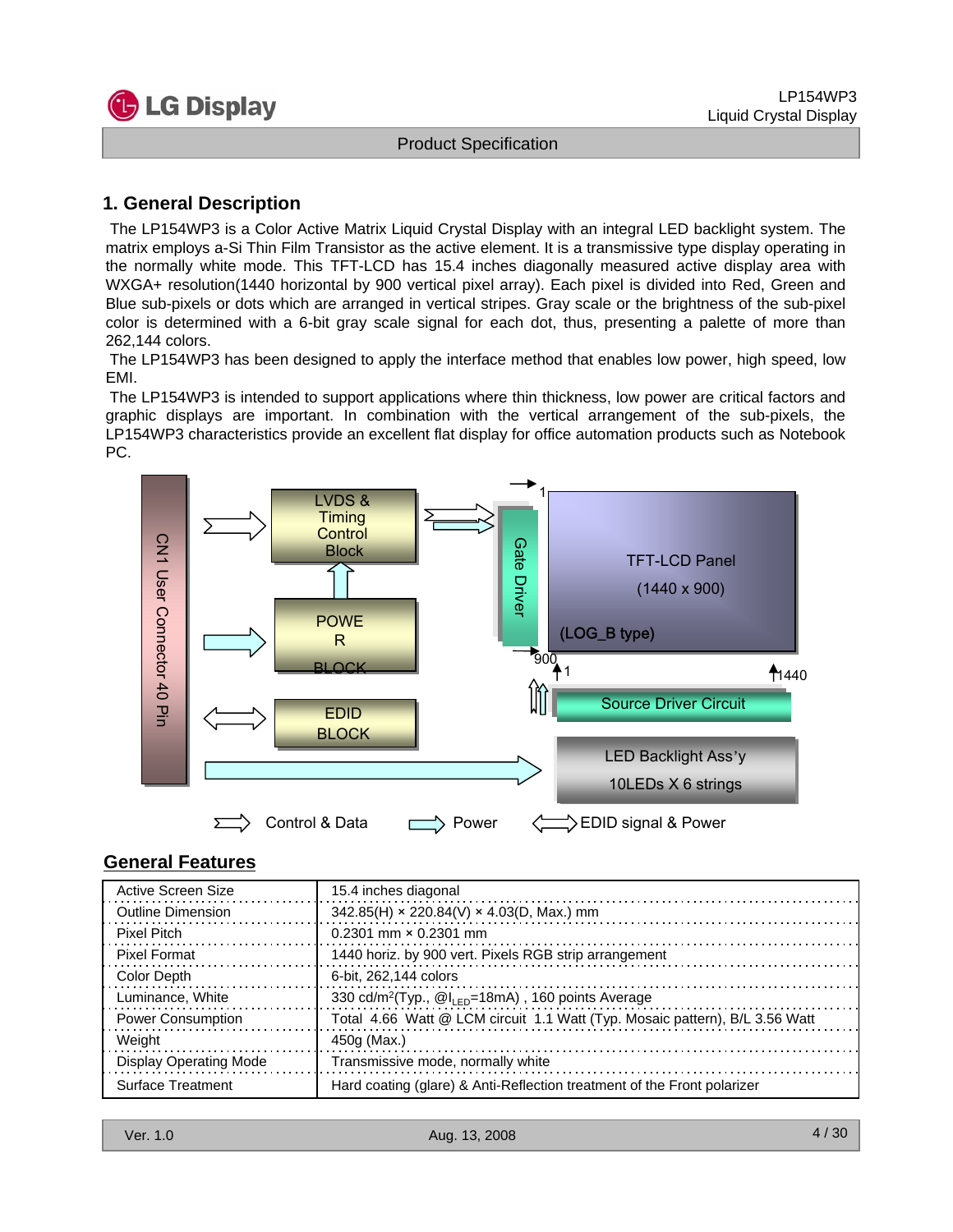

### **1. General Description**

The LP154WP3 is a Color Active Matrix Liquid Crystal Display with an integral LED backlight system. The matrix employs a-Si Thin Film Transistor as the active element. It is a transmissive type display operating in the normally white mode. This TFT-LCD has 15.4 inches diagonally measured active display area with WXGA+ resolution(1440 horizontal by 900 vertical pixel array). Each pixel is divided into Red, Green and Blue sub-pixels or dots which are arranged in vertical stripes. Gray scale or the brightness of the sub-pixel color is determined with a 6-bit gray scale signal for each dot, thus, presenting a palette of more than 262,144 colors.

The LP154WP3 has been designed to apply the interface method that enables low power, high speed, low EMI.

The LP154WP3 is intended to support applications where thin thickness, low power are critical factors and graphic displays are important. In combination with the vertical arrangement of the sub-pixels, the LP154WP3 characteristics provide an excellent flat display for office automation products such as Notebook PC.



### **General Features**

| Active Screen Size            | 15.4 inches diagonal                                                        |
|-------------------------------|-----------------------------------------------------------------------------|
| Outline Dimension             | $342.85(H) \times 220.84(V) \times 4.03(D, Max.)$ mm                        |
| Pixel Pitch                   | $0.2301$ mm $\times$ 0.2301 mm                                              |
| <b>Pixel Format</b>           | 1440 horiz. by 900 vert. Pixels RGB strip arrangement                       |
| Color Depth                   | 6-bit. 262.144 colors                                                       |
| Luminance, White              | 330 cd/m <sup>2</sup> (Typ., $@I_{LED} = 18mA$ ), 160 points Average        |
| <b>Power Consumption</b>      | Total 4.66 Watt @ LCM circuit 1.1 Watt (Typ. Mosaic pattern), B/L 3.56 Watt |
| Weight                        | 450g (Max.)                                                                 |
| <b>Display Operating Mode</b> | Transmissive mode, normally white                                           |
| <b>Surface Treatment</b>      | Hard coating (glare) & Anti-Reflection treatment of the Front polarizer     |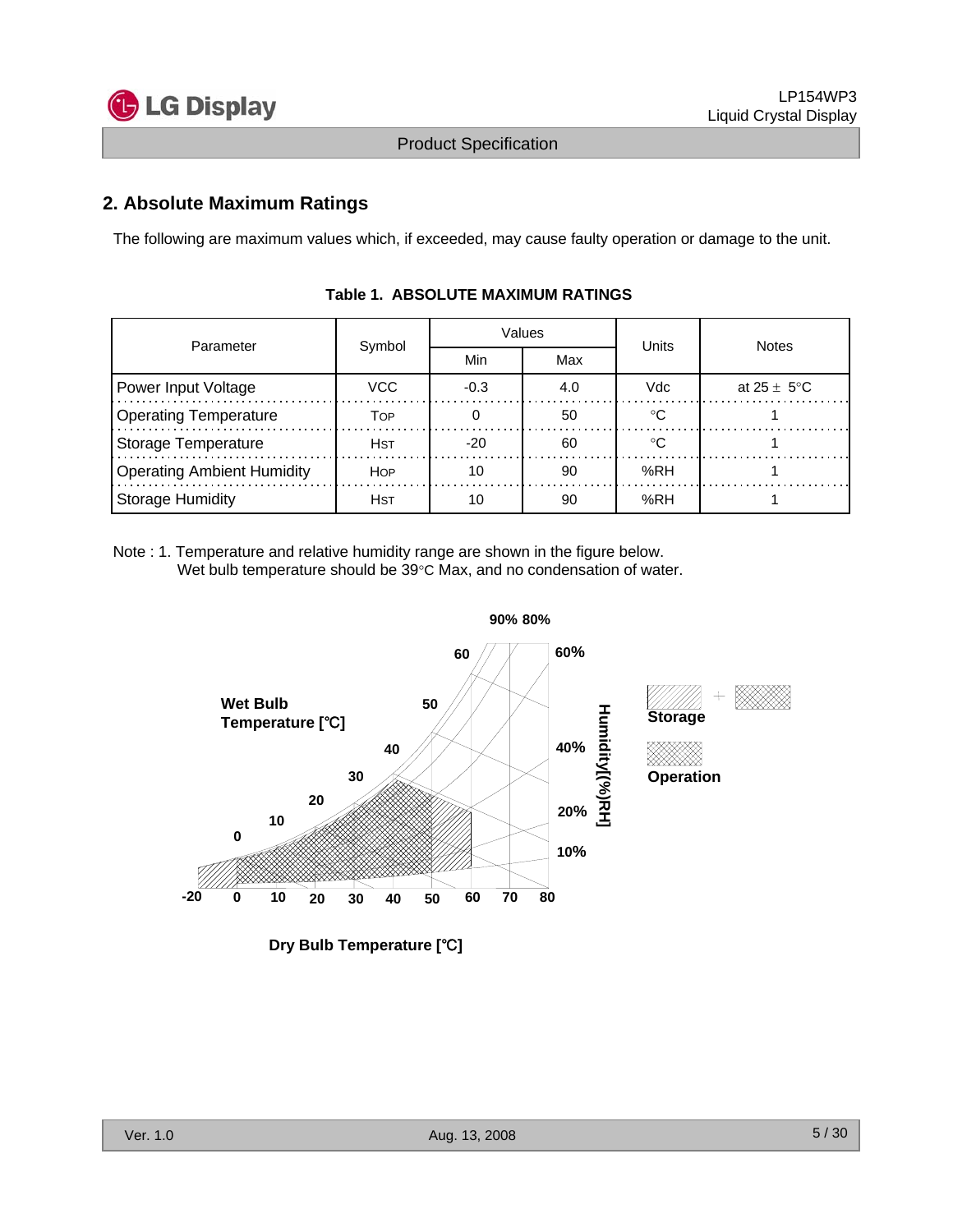

### **2. Absolute Maximum Ratings**

The following are maximum values which, if exceeded, may cause faulty operation or damage to the unit.

| Parameter                         | Symbol      |        | Values | Units | <b>Notes</b>            |  |
|-----------------------------------|-------------|--------|--------|-------|-------------------------|--|
|                                   |             | Min    | Max    |       |                         |  |
| Power Input Voltage               | VCC         | $-0.3$ | 4.0    | Vdc   | at $25 \pm 5^{\circ}$ C |  |
| <b>Operating Temperature</b>      | TOP         |        | 50     | ∘∩    |                         |  |
| Storage Temperature               | <b>H</b> st | $-20$  | 60     | ം     |                         |  |
| <b>Operating Ambient Humidity</b> | <b>HOP</b>  | 10     | 90     | %RH   |                         |  |
| <b>Storage Humidity</b>           | <b>H</b> st | 10     | 90     | %RH   |                         |  |

### **Table 1. ABSOLUTE MAXIMUM RATINGS**

Note : 1. Temperature and relative humidity range are shown in the figure below. Wet bulb temperature should be 39°C Max, and no condensation of water.



**Dry Bulb Temperature [**℃**]**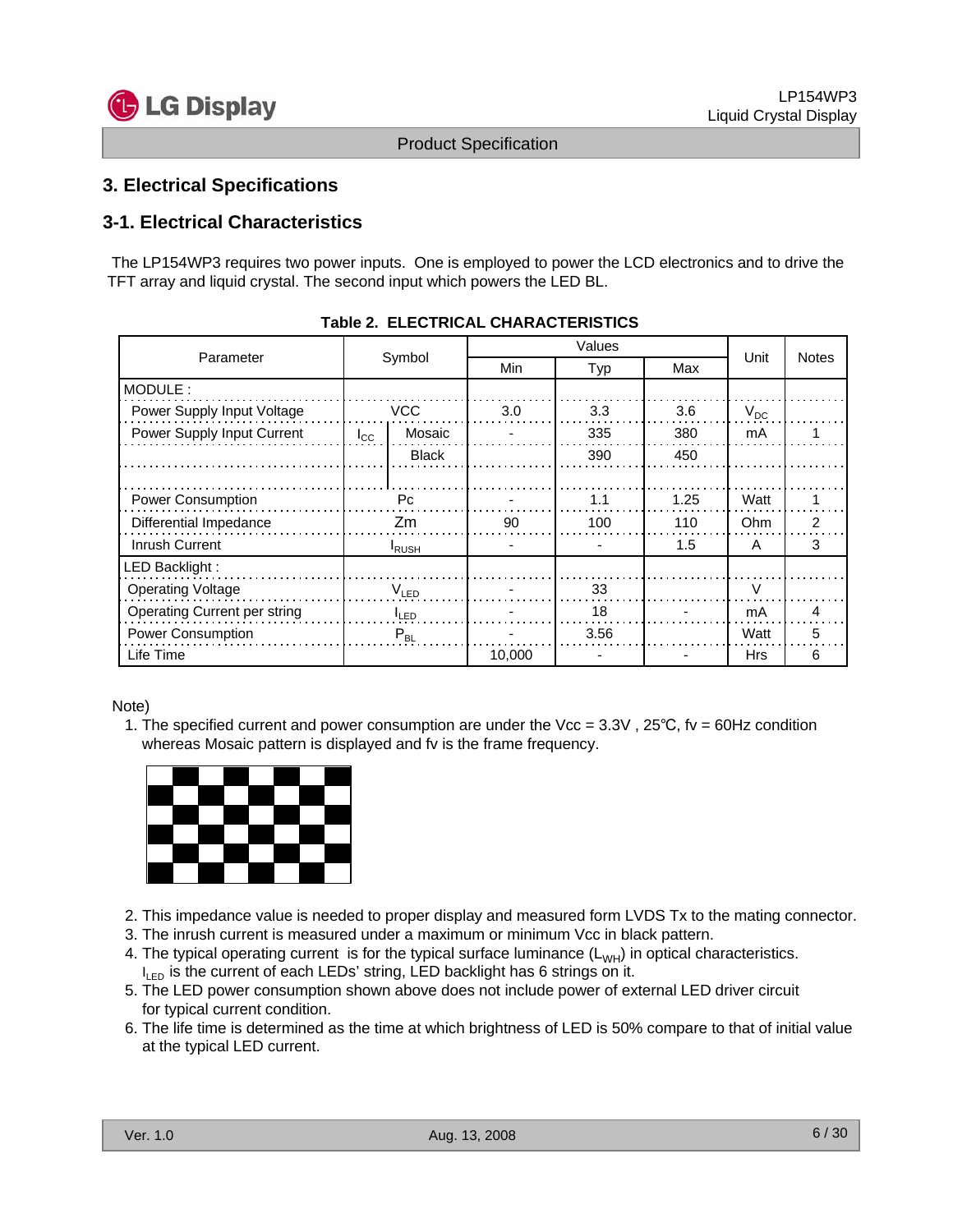

### **3. Electrical Specifications**

### **3-1. Electrical Characteristics**

The LP154WP3 requires two power inputs. One is employed to power the LCD electronics and to drive the TFT array and liquid crystal. The second input which powers the LED BL.

| Parameter                    |                  |              |        | Unit | <b>Notes</b> |               |   |
|------------------------------|------------------|--------------|--------|------|--------------|---------------|---|
|                              |                  | Symbol       | Min    | Typ  | Max          |               |   |
| MODULE:                      |                  |              |        |      |              |               |   |
| Power Supply Input Voltage   |                  | <b>VCC</b>   | 3.0    | 3.3  | 3.6          | $V_{DC}$      |   |
| Power Supply Input Current   | $I_{\rm CC}$     | Mosaic       |        | 335  | 380          | mA            |   |
|                              |                  | <b>Black</b> |        | 390  | 450          |               |   |
|                              |                  |              |        |      |              |               |   |
| <b>Power Consumption</b>     | Pc               |              |        | 1.1  | 1.25         | Watt          |   |
| Differential Impedance       |                  | Zm           | 90     | 100  | 110          | Ohm           | 2 |
| Inrush Current               | <b>RUSH</b>      |              |        |      | 1.5          | A             | 3 |
| LED Backlight :              |                  |              |        |      |              |               |   |
| <b>Operating Voltage</b>     | $V_{LED}$        |              |        | 33   |              | $\mathcal{U}$ |   |
| Operating Current per string | <sup>I</sup> LED |              |        | 18   |              | mA            | 4 |
| Power Consumption            | $P_{BL}$         |              |        | 3.56 |              | Watt          | 5 |
| Life Time                    |                  |              | 10,000 |      |              | Hrs           | 6 |

#### **Table 2. ELECTRICAL CHARACTERISTICS**

#### Note)

1. The specified current and power consumption are under the Vcc = 3.3V , 25℃, fv = 60Hz condition whereas Mosaic pattern is displayed and fv is the frame frequency.



- 2. This impedance value is needed to proper display and measured form LVDS Tx to the mating connector.
- 3. The inrush current is measured under a maximum or minimum Vcc in black pattern.
- 4. The typical operating current is for the typical surface luminance  $(L_{WH})$  in optical characteristics.  $I_{LED}$  is the current of each LEDs' string, LED backlight has 6 strings on it.
- 5. The LED power consumption shown above does not include power of external LED driver circuit for typical current condition.
- 6. The life time is determined as the time at which brightness of LED is 50% compare to that of initial value at the typical LED current.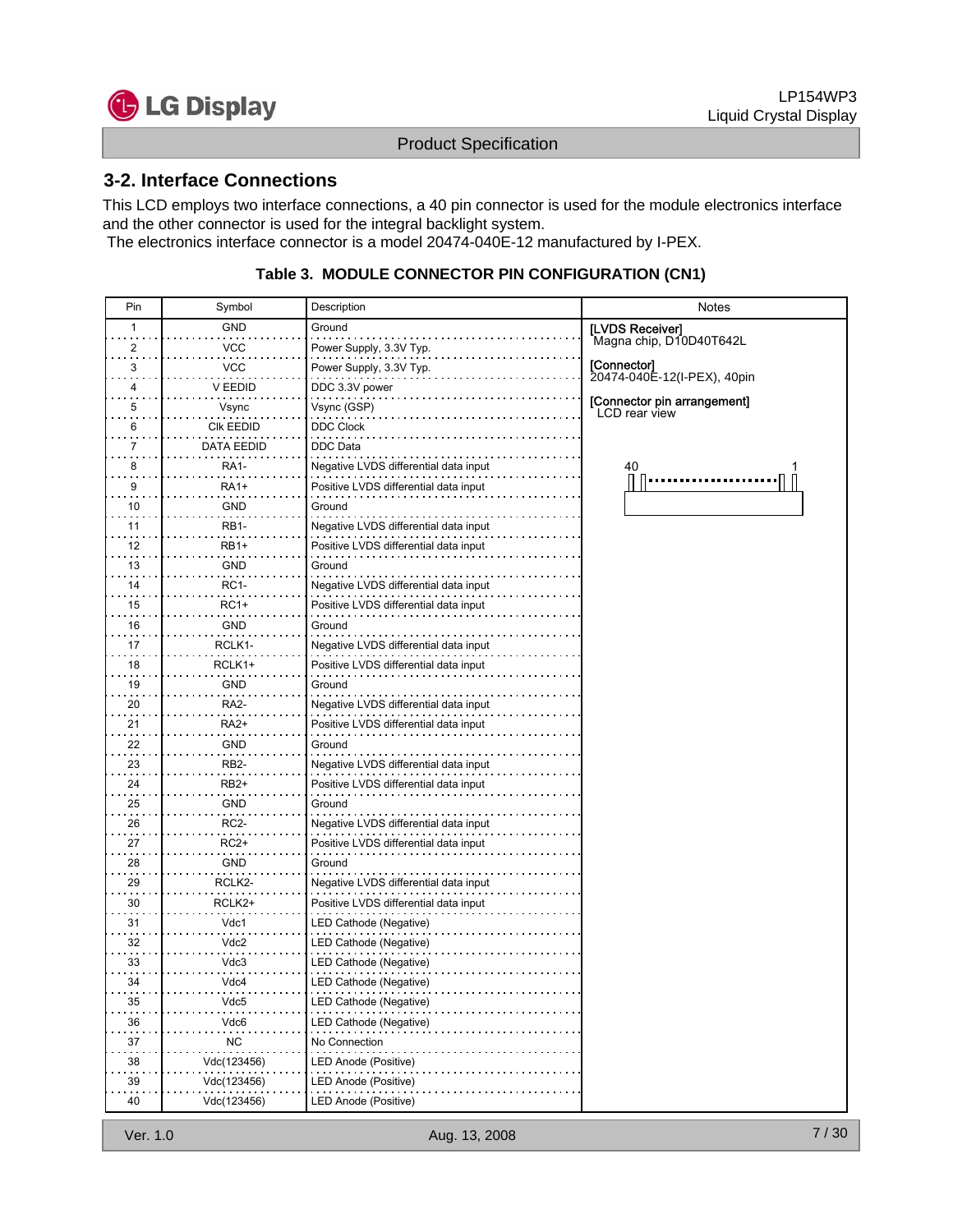

### **3-2. Interface Connections**

This LCD employs two interface connections, a 40 pin connector is used for the module electronics interface and the other connector is used for the integral backlight system.

The electronics interface connector is a model 20474-040E-12 manufactured by I-PEX.

#### **Table 3. MODULE CONNECTOR PIN CONFIGURATION (CN1)**

| Pin | Symbol            | Description                           | <b>Notes</b>                                 |
|-----|-------------------|---------------------------------------|----------------------------------------------|
| 1   | GND               | Ground                                | [LVDS Receiver]                              |
| 2   | VCC               | Power Supply, 3.3V Typ.               | Magna chip, D10D40T642L                      |
| 3   | VCC               | Power Supply, 3.3V Typ.               | [Connector]                                  |
| 4   | V EEDID           | DDC 3.3V power                        | 20474-040E-12(I-PEX), 40pin                  |
| 5   | Vsync             | Vsync (GSP)                           | [Connector pin arrangement]<br>LCD rear view |
| 6   | CIK EEDID         | <b>DDC Clock</b>                      |                                              |
| 7   | DATA EEDID        | DDC Data                              |                                              |
| 8   | RA1-              | Negative LVDS differential data input | 40                                           |
| 9   | RA1+              | Positive LVDS differential data input |                                              |
| 10  | GND               | Ground                                |                                              |
| 11  | RB1-              | Negative LVDS differential data input |                                              |
| 12  | RB1+              | Positive LVDS differential data input |                                              |
| 13  | <b>GND</b>        | Ground                                |                                              |
| 14  | <b>RC1-</b>       | Negative LVDS differential data input |                                              |
| 15  | <b>RC1+</b>       | Positive LVDS differential data input |                                              |
| 16  | GND               | Ground                                |                                              |
| 17  | RCLK1-            | Negative LVDS differential data input |                                              |
| 18  | RCLK1+            | Positive LVDS differential data input |                                              |
| 19  | GND               | Ground                                |                                              |
| 20  | RA2-              | Negative LVDS differential data input |                                              |
| 21  | <b>RA2+</b>       | Positive LVDS differential data input |                                              |
| 22  | <b>GND</b>        | Ground                                |                                              |
| 23  | RB <sub>2</sub> - | Negative LVDS differential data input |                                              |
| 24  | RB2+              | Positive LVDS differential data input |                                              |
| 25  | <b>GND</b>        | Ground                                |                                              |
| 26  | RC2-              | Negative LVDS differential data input |                                              |
| 27  | RC2+              | Positive LVDS differential data input |                                              |
| 28  | GND               | Ground                                |                                              |
| 29  | RCLK2-            | Negative LVDS differential data input |                                              |
| 30  | RCLK2+            | Positive LVDS differential data input |                                              |
| 31  | Vdc1              | LED Cathode (Negative)                |                                              |
| 32  | Vdc2              | LED Cathode (Negative)                |                                              |
| 33  | Vdc3              | LED Cathode (Negative)                |                                              |
| 34  | Vdc4              | LED Cathode (Negative)<br>.           |                                              |
| 35  | Vdc5              | LED Cathode (Negative)                |                                              |
| 36  | Vdc6              | LED Cathode (Negative)                |                                              |
| 37  | <b>NC</b>         | No Connection                         |                                              |
| 38  | Vdc(123456)       | LED Anode (Positive)                  |                                              |
| 39  | Vdc(123456)       | LED Anode (Positive)                  |                                              |
| 40  | Vdc(123456)       | LED Anode (Positive)                  |                                              |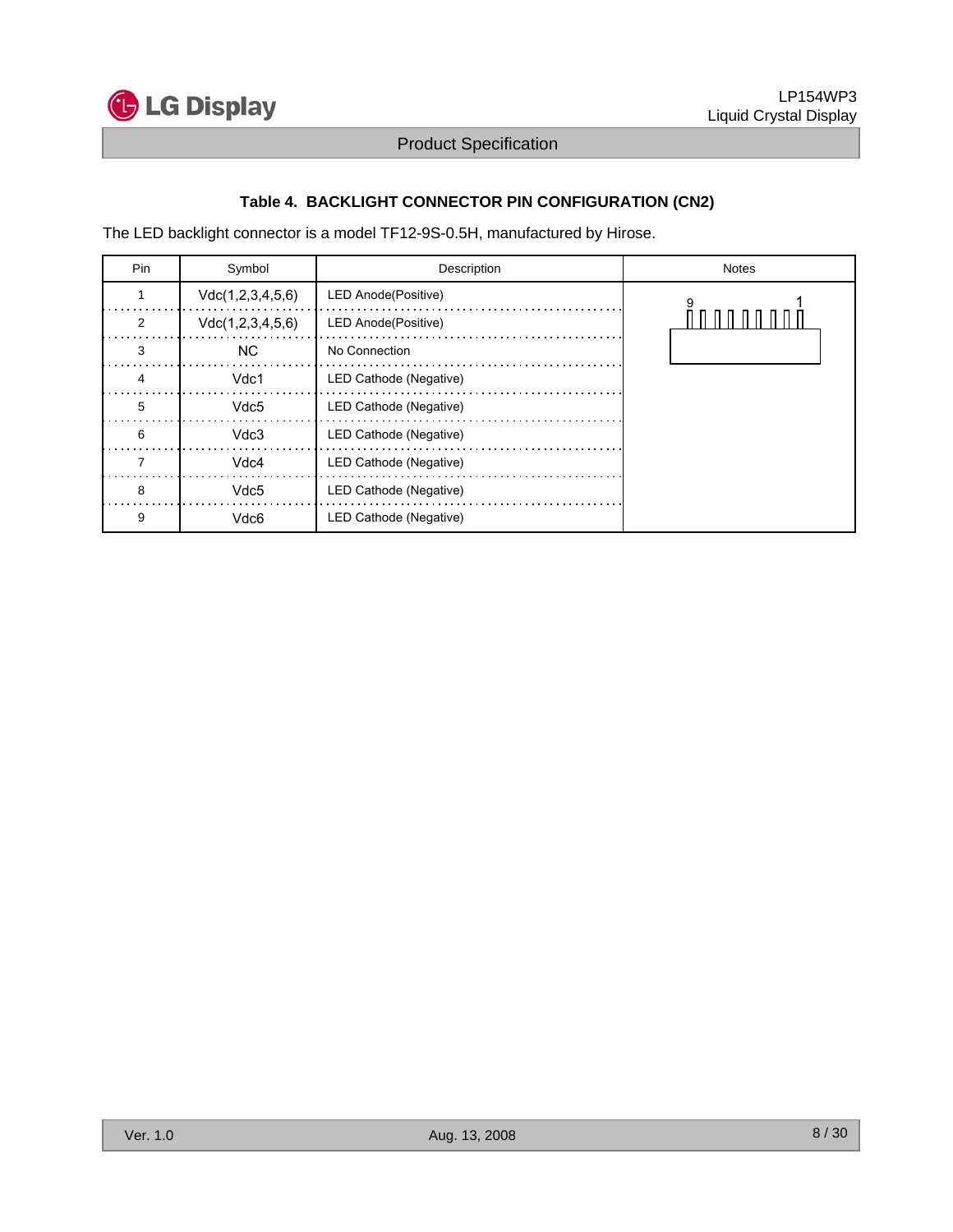

### **Table 4. BACKLIGHT CONNECTOR PIN CONFIGURATION (CN2)**

The LED backlight connector is a model TF12-9S-0.5H, manufactured by Hirose.

| Pin | Symbol           | Description            | <b>Notes</b> |
|-----|------------------|------------------------|--------------|
|     | Vdc(1,2,3,4,5,6) | LED Anode(Positive)    |              |
| 2   | Vdc(1,2,3,4,5,6) | LED Anode(Positive)    |              |
| 3   | NC.              | No Connection          |              |
|     | Vdc1             | LED Cathode (Negative) |              |
| 5   | Vdc <sub>5</sub> | LED Cathode (Negative) |              |
| 6   | Vdc3             | LED Cathode (Negative) |              |
|     | Vdc4             | LED Cathode (Negative) |              |
| 8   | Vdc <sub>5</sub> | LED Cathode (Negative) |              |
| 9   | Vdc6             | LED Cathode (Negative) |              |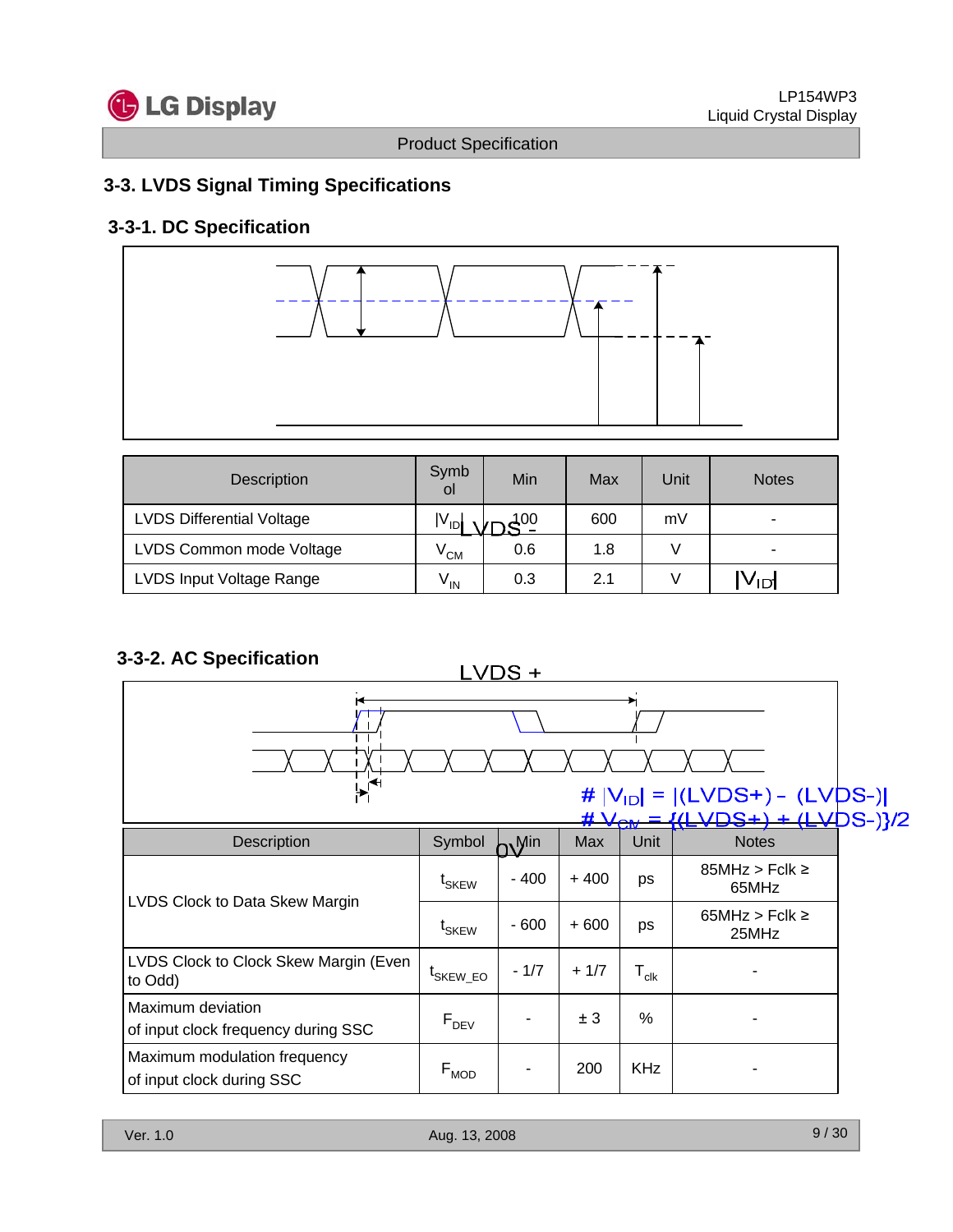

# **3-3. LVDS Signal Timing Specifications**

### **3-3-1. DC Specification**



| Description                      | Symb<br>οl      | Min | Max | Unit | <b>Notes</b>    |
|----------------------------------|-----------------|-----|-----|------|-----------------|
| <b>LVDS Differential Voltage</b> | $ V_{ID} $      | 400 | 600 | mV   |                 |
| LVDS Common mode Voltage         | $V_{CM}$        | 0.6 | 1.8 |      |                 |
| LVDS Input Voltage Range         | $V_{\text{IN}}$ | 0.3 | 2.1 |      | V <sub>ID</sub> |

## **3-3-2. AC Specification**

 $LVDS +$ 



|                                                           |                      |        | ₩      | <b>VCM</b>                                                       | <del>ILV</del> UJ<br>ਚਦਮ    |
|-----------------------------------------------------------|----------------------|--------|--------|------------------------------------------------------------------|-----------------------------|
| <b>Description</b>                                        | Symbol               | , Min  | Max    | Unit                                                             | <b>Notes</b>                |
| LVDS Clock to Data Skew Margin                            | t <sub>SKEW</sub>    | $-400$ | $+400$ | ps                                                               | $85MHz > Fclk \ge$<br>65MHz |
|                                                           | t <sub>SKEW</sub>    | $-600$ | $+600$ | $65MHz > Fclk \ge$<br>ps<br>25MHz<br>$\mathsf{T}_{\mathsf{clk}}$ |                             |
| LVDS Clock to Clock Skew Margin (Even<br>to Odd)          | <sup>L</sup> SKEW EO | $-1/7$ | $+1/7$ |                                                                  |                             |
| Maximum deviation<br>of input clock frequency during SSC  | $F_{DEV}$            |        | ± 3    | $\%$                                                             |                             |
| Maximum modulation frequency<br>of input clock during SSC | $F_{MOD}$            |        | 200    | <b>KHz</b>                                                       |                             |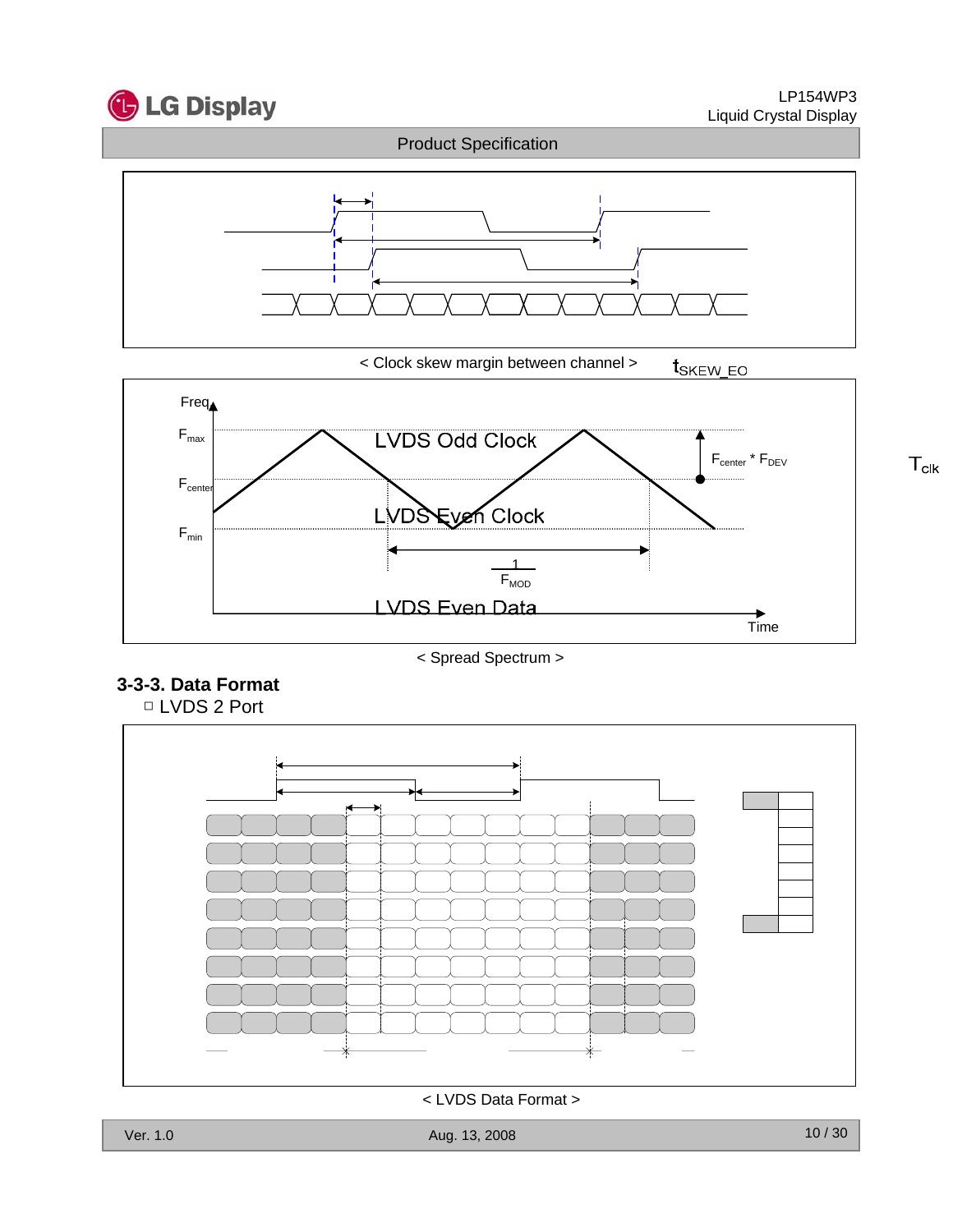

 $T_{\text{clk}}$ 



< Clock skew margin between channel > t<sub>SKEW\_EO</sub>



< Spread Spectrum >

### **3-3-3. Data Format** □ LVDS 2 Port



< LVDS Data Format >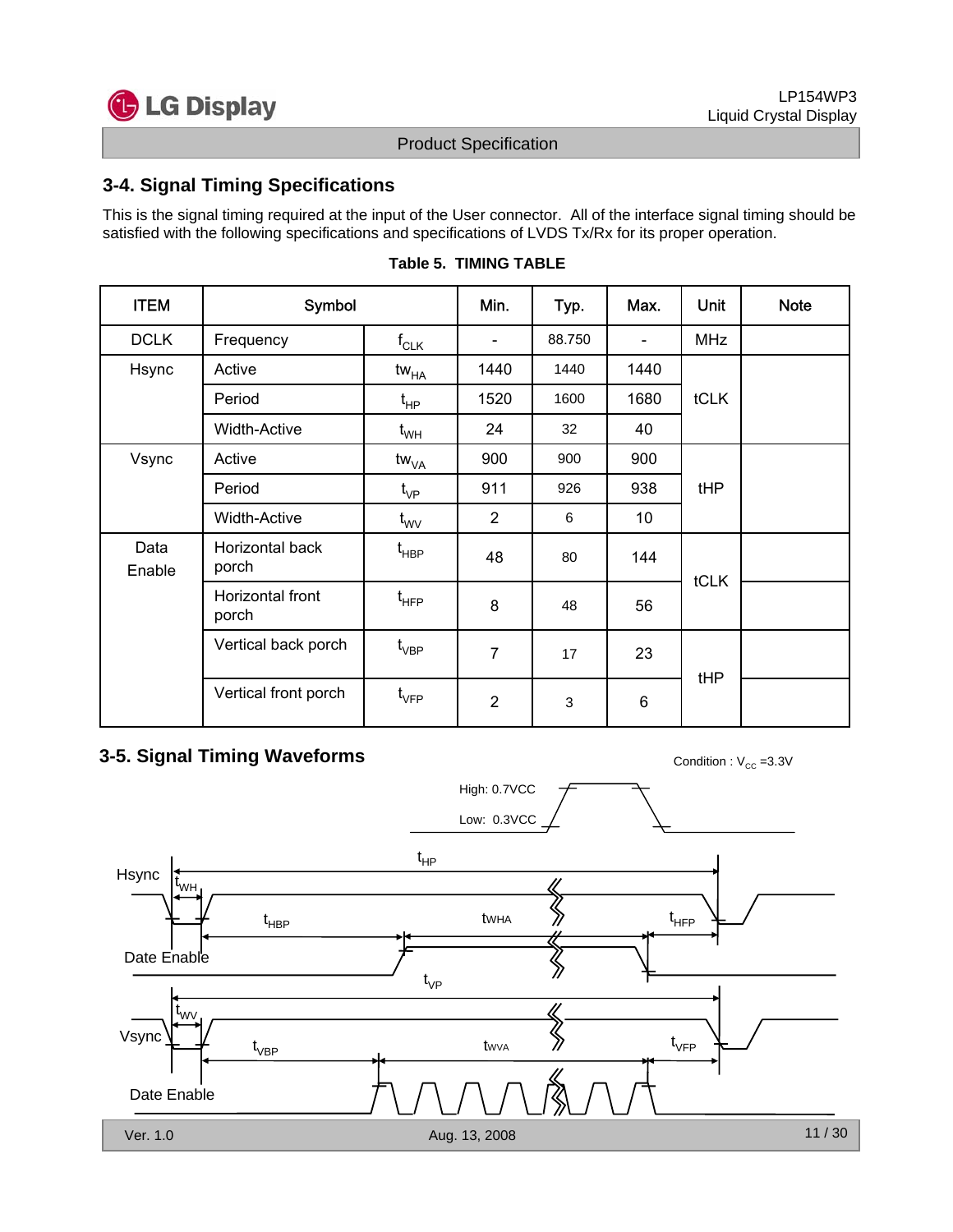

### **3-4. Signal Timing Specifications**

This is the signal timing required at the input of the User connector. All of the interface signal timing should be satisfied with the following specifications and specifications of LVDS Tx/Rx for its proper operation.

| <b>ITEM</b>    | Symbol                    |                                        | Min.                     | Typ.   | Max.                     | Unit       | <b>Note</b> |
|----------------|---------------------------|----------------------------------------|--------------------------|--------|--------------------------|------------|-------------|
| <b>DCLK</b>    | Frequency                 | $f_{CLK}$                              | $\overline{\phantom{a}}$ | 88.750 | $\overline{\phantom{a}}$ | <b>MHz</b> |             |
| Hsync          | Active                    | tw <sub>HA</sub>                       | 1440                     | 1440   | 1440                     |            |             |
|                | Period                    | t <sub>нР</sub>                        | 1520                     | 1600   | 1680                     | tCLK       |             |
|                | <b>Width-Active</b>       | $t_{WH}$                               | 24                       | 32     | 40                       |            |             |
| Vsync          | Active                    | $\mathsf{tw}_{\mathsf{VA}}$            | 900                      | 900    | 900                      |            |             |
|                | Period                    |                                        | 911                      | 926    | 938                      | tHP        |             |
|                | <b>Width-Active</b>       | $t_{\text{wV}}$                        | $\overline{2}$           | 6      | 10 <sup>1</sup>          |            |             |
| Data<br>Enable | Horizontal back<br>porch  | t <sub>HBP</sub>                       | 48                       | 80     | 144                      | tCLK       |             |
|                | Horizontal front<br>porch | $\mathfrak{t}_{\mathsf{H}\mathsf{FP}}$ | 8                        | 48     | 56                       |            |             |
|                | Vertical back porch       | $\mathfrak{t}_{\mathsf{VBP}}$          | $\overline{7}$           | 17     | 23                       | tHP        |             |
|                | Vertical front porch      | $\mathfrak{t}_{\mathsf{VFP}}$          | $\overline{2}$           | 3      | 6                        |            |             |

#### **Table 5. TIMING TABLE**

## **3-5. Signal Timing Waveforms** Condition : V<sub>CC</sub> =3.3V

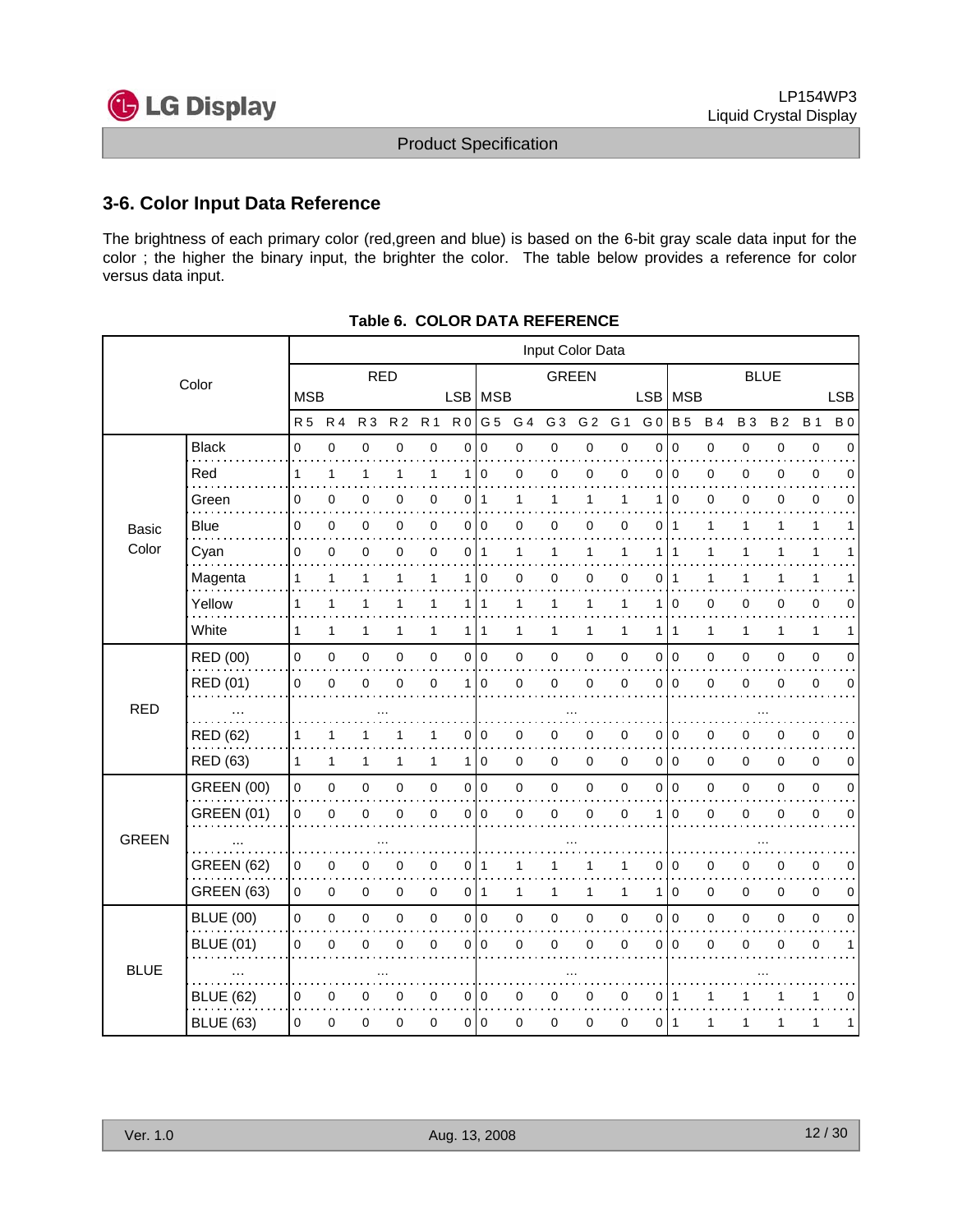

### **3-6. Color Input Data Reference**

The brightness of each primary color (red,green and blue) is based on the 6-bit gray scale data input for the color ; the higher the binary input, the brighter the color. The table below provides a reference for color versus data input.

|              |                   |              |              |              |                |              |                | Input Color Data |             |                |                |              |                |                |             |             |             |              |             |
|--------------|-------------------|--------------|--------------|--------------|----------------|--------------|----------------|------------------|-------------|----------------|----------------|--------------|----------------|----------------|-------------|-------------|-------------|--------------|-------------|
|              | Color             |              |              | <b>RED</b>   |                |              |                |                  |             |                | <b>GREEN</b>   |              |                |                |             |             | <b>BLUE</b> |              |             |
|              |                   | <b>MSB</b>   |              |              |                |              |                | LSB   MSB        |             |                |                |              | LSB   MSB      |                |             |             |             |              | <b>LSB</b>  |
|              |                   | <b>R5</b>    | <b>R4</b>    | <b>R3</b>    | R <sub>2</sub> | <b>R1</b>    | R <sub>0</sub> | G 5              | G 4         | G <sub>3</sub> | G <sub>2</sub> | G 1          | G <sub>0</sub> | <b>B</b> 5     | <b>B4</b>   | <b>B3</b>   | <b>B2</b>   | <b>B</b> 1   | <b>B</b> 0  |
|              | <b>Black</b>      | 0            | $\mathbf 0$  | 0            | $\mathbf 0$    | $\pmb{0}$    | 0              | $\mathbf 0$      | 0           | $\pmb{0}$      | $\mathsf 0$    | $\pmb{0}$    | $\mathbf 0$    | $\pmb{0}$      | 0           | 0           | $\mathbf 0$ | $\pmb{0}$    | $\mathbf 0$ |
|              | Red               | 1            | $\mathbf{1}$ | $\mathbf{1}$ | 1              | $\mathbf{1}$ | 1              | $\mathbf 0$      | $\mathbf 0$ | $\mathbf 0$    | 0              | $\mathbf 0$  | $\Omega$       | $\overline{0}$ | $\mathsf 0$ | 0           | 0           | $\mathbf 0$  | $\Omega$    |
|              | Green             | 0            | 0            | 0            | 0              | 0            | 0              | $\overline{11}$  | 1           | 1              | 1              | $\mathbf{1}$ |                | $\mathbf 0$    | 0           | 0           | 0           | $\mathbf 0$  | $\Omega$    |
| <b>Basic</b> | Blue              | 0            | 0            | 0            | 0              | 0            |                | 0 0              | 0           | $\mathbf 0$    | 0              | 0            | 0              | $\overline{1}$ | 1           | 1           | 1           | $\mathbf{1}$ | 1           |
| Color        | Cyan              | 0            | $\mathbf 0$  | 0            | 0              | 0            |                | $0$   1          | 1           | 1              | 1              | 1            | 1              | $\mathbf 1$    | 1           |             |             | 1            |             |
|              | Magenta           | 1            | 1            | 1            | 1              | $\mathbf{1}$ | 1              | 0                | 0           | 0              | 0              | 0            | 0              | $\overline{1}$ | 1           | 1           | 1           | 1            | 1           |
|              | Yellow            | 1            | 1            | $\mathbf{1}$ | 1              | $\mathbf{1}$ | 1              | 1                | 1           | $\mathbf{1}$   | 1              | $\mathbf{1}$ | 1              | $\overline{0}$ | 0           | 0           | 0           | $\pmb{0}$    | 0           |
|              | White             | 1            | 1            | 1            | 1              | 1            | 1              | 1                | 1           | 1              | 1              | $\mathbf{1}$ | 1              | $\mathbf{1}$   | 1           | 1           | 1           | $\mathbf{1}$ | 1           |
|              | <b>RED (00)</b>   | 0            | $\pmb{0}$    | 0            | 0              | $\pmb{0}$    |                | 010              | 0           | $\pmb{0}$      | $\mathsf 0$    | 0            | 0              | 0              | 0           | 0           | 0           | $\pmb{0}$    | $\mathbf 0$ |
|              | <b>RED (01)</b>   | 0            | $\mathbf 0$  | 0            | 0              | $\mathbf 0$  | 1              | 0                | 0           | $\mathbf 0$    | 0              | $\mathbf 0$  | $\Omega$       | $\overline{0}$ | 0           | 0           | 0           | $\mathbf 0$  | 0           |
| <b>RED</b>   | $\cdots$          |              |              |              |                |              |                |                  |             |                |                |              |                |                |             |             |             |              |             |
|              | <b>RED (62)</b>   | 1            | 1            | 1            | 1              | 1            | 0              | $\mathbf 0$      | 0           | $\pmb{0}$      | 0              | 0            | 0              | l 0            | 0           | 0           | 0           | 0            | 0           |
|              | <b>RED (63)</b>   | $\mathbf{1}$ | $\mathbf{1}$ | $\mathbf{1}$ | $\mathbf{1}$   | $\mathbf{1}$ | 1              | 0                | 0           | $\mathbf 0$    | $\mathbf 0$    | $\mathbf 0$  | $\mathbf 0$    | l o            | 0           | $\mathbf 0$ | 0           | $\mathbf 0$  | $\mathbf 0$ |
|              | <b>GREEN (00)</b> | $\pmb{0}$    | $\pmb{0}$    | 0            | $\mathbf 0$    | $\pmb{0}$    |                | 010              | 0           | $\pmb{0}$      | $\mathsf 0$    | $\mathbf 0$  | $\Omega$       | l o            | $\mathsf 0$ | 0           | 0           | $\pmb{0}$    | $\mathbf 0$ |
|              | <b>GREEN (01)</b> | 0            | $\mathbf 0$  | 0            | $\overline{0}$ | $\mathbf 0$  |                | 010              | 0           | $\mathbf 0$    | 0              | $\mathbf 0$  | 1              | $\mathbf 0$    | 0           | 0           | $\Omega$    | $\mathbf 0$  | 0           |
| <b>GREEN</b> |                   |              |              |              |                |              |                |                  |             |                |                |              |                |                |             |             |             |              |             |
|              | <b>GREEN (62)</b> | 0            | $\pmb{0}$    | 0            | 0              | 0            | 0              | 1                | 1           | 1              | 1              | $\mathbf{1}$ | $\Omega$       | $\mathbf 0$    | 0           | 0           | 0           | $\pmb{0}$    | 0           |
|              | <b>GREEN (63)</b> | $\mathbf 0$  | $\mathbf 0$  | 0            | $\mathbf 0$    | 0            |                | $0$  1           | 1           | 1              | 1              | 1            | 1              | $\overline{0}$ | 0           | 0           | 0           | $\pmb{0}$    | 0           |
|              | <b>BLUE (00)</b>  | $\mathsf 0$  | $\pmb{0}$    | 0            | $\mathbf 0$    | $\pmb{0}$    |                | 0 0              | 0           | $\pmb{0}$      | $\mathsf 0$    | $\mathbf 0$  | $\mathbf 0$    | $\overline{0}$ | 0           | 0           | 0           | $\pmb{0}$    | $\mathbf 0$ |
|              | <b>BLUE (01)</b>  | 0            | 0            | 0            | $\Omega$       | 0            |                | 010              | 0           | $\mathbf 0$    | 0              | 0            | 0              | $\mathbf 0$    | 0           | 0           | 0           | 0            | 1           |
| <b>BLUE</b>  | $\cdots$          |              |              |              |                |              |                |                  |             |                |                |              |                |                |             |             |             |              |             |
|              | <b>BLUE (62)</b>  | 0            | 0            | 0            | 0              | 0            | 0              | 0                | 0           | 0              | 0              | 0            | 0              | $\mathbf 1$    | 1           |             |             | 1            | 0           |
|              | <b>BLUE (63)</b>  | 0            | $\mathbf 0$  | 0            | 0              | 0            | $\circ$        | $\mathbf 0$      | 0           | 0              | 0              | 0            | 0              | $\vert$ 1      | 1           | 1           | 1           | 1            | 1           |

#### **Table 6. COLOR DATA REFERENCE**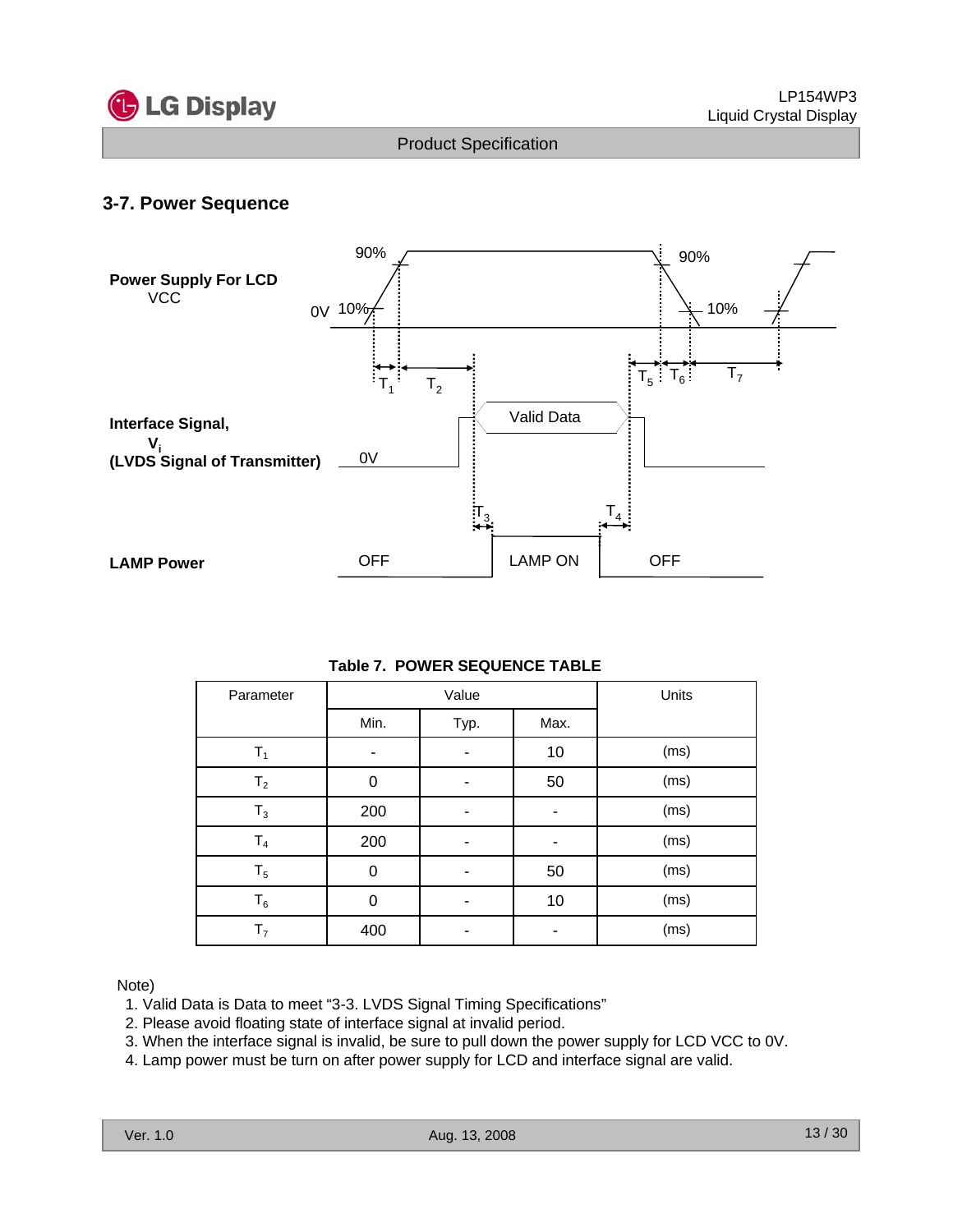

### **3-7. Power Sequence**



### **Table 7. POWER SEQUENCE TABLE**

| Parameter      |      | Value |      | Units |
|----------------|------|-------|------|-------|
|                | Min. | Typ.  | Max. |       |
| $T_1$          | ۰    | -     | 10   | (ms)  |
| T <sub>2</sub> | 0    |       | 50   | (ms)  |
| $T_3$          | 200  |       |      | (ms)  |
| T <sub>4</sub> | 200  |       |      | (ms)  |
| $T_5$          | 0    |       | 50   | (ms)  |
| $T_6$          | 0    |       | 10   | (ms)  |
| T <sub>7</sub> | 400  |       |      | (ms)  |

#### Note)

- 1. Valid Data is Data to meet "3-3. LVDS Signal Timing Specifications"
- 2. Please avoid floating state of interface signal at invalid period.
- 3. When the interface signal is invalid, be sure to pull down the power supply for LCD VCC to 0V.
- 4. Lamp power must be turn on after power supply for LCD and interface signal are valid.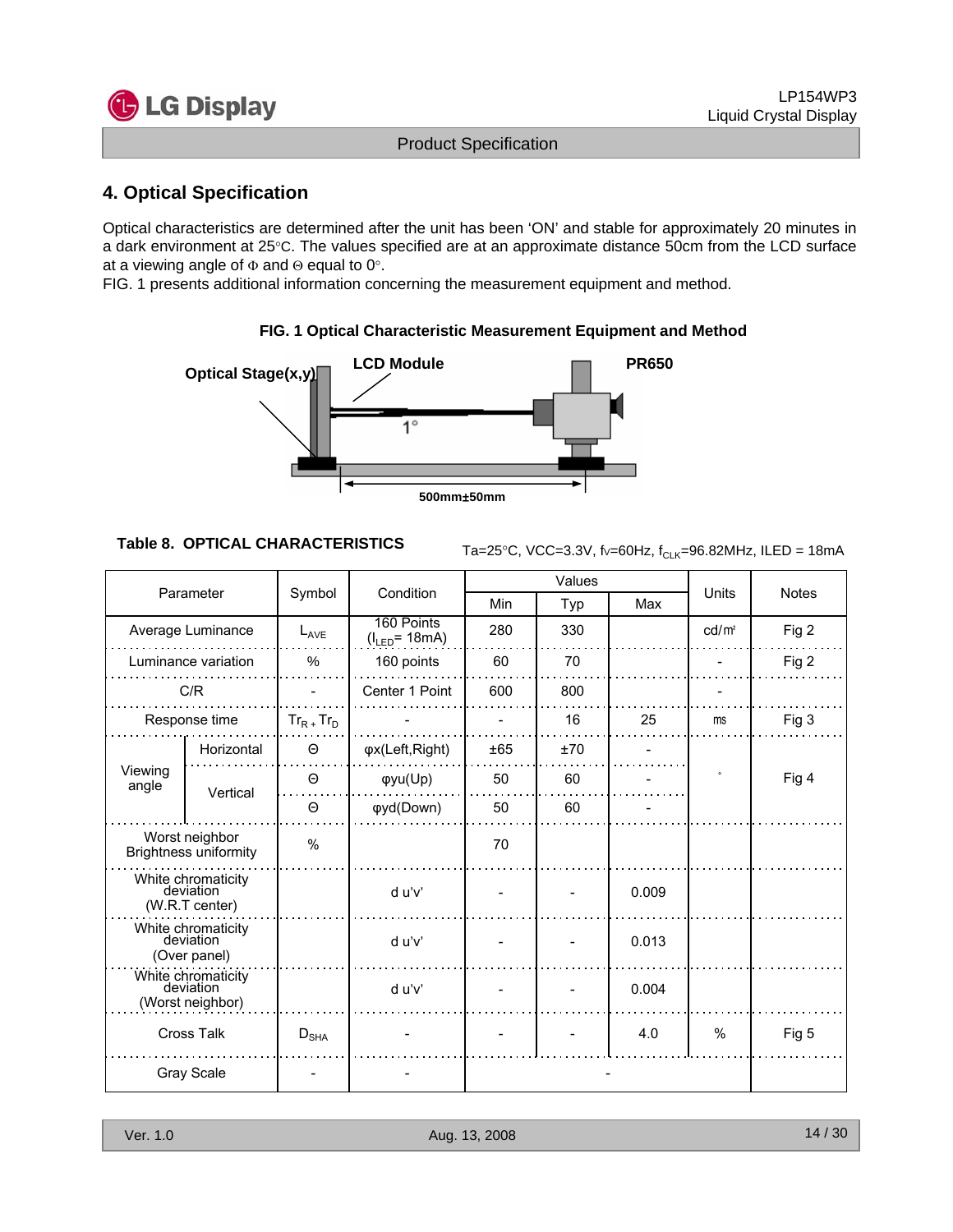

### **4. Optical Specification**

Optical characteristics are determined after the unit has been 'ON' and stable for approximately 20 minutes in a dark environment at 25°C. The values specified are at an approximate distance 50cm from the LCD surface at a viewing angle of Φ and Θ equal to 0°.

FIG. 1 presents additional information concerning the measurement equipment and method.



#### **FIG. 1 Optical Characteristic Measurement Equipment and Method**

**Table 8. OPTICAL CHARACTERISTICS**  $_{Ta=25\degree C, \text{ VCC}=3.3\degree C, \text{ f}\sim=60\text{Hz}, \text{ f}_{CLK}=96.82\text{MHz}}$ , ILED = 18mA

|                                                     |                                                   |                 |                                  |     | Values |       |                   |              |  |
|-----------------------------------------------------|---------------------------------------------------|-----------------|----------------------------------|-----|--------|-------|-------------------|--------------|--|
|                                                     | Parameter                                         | Symbol          | Condition                        | Min | Typ    | Max   | Units             | <b>Notes</b> |  |
|                                                     | Average Luminance                                 | $L_{AVE}$       | 160 Points<br>$(I_{LED} = 18mA)$ | 280 | 330    |       | cd/m <sup>2</sup> | Fig 2        |  |
|                                                     | Luminance variation                               | %               | 160 points                       | 60  | 70     |       |                   | Fig 2        |  |
|                                                     | C/R                                               |                 | Center 1 Point                   | 600 | 800    |       |                   |              |  |
|                                                     | Response time                                     | $Tr_{R+}Tr_{D}$ |                                  |     | 16     | 25    | ms                | Fig 3        |  |
|                                                     | Horizontal                                        | Θ               | φx(Left, Right)                  | ±65 | ±70    |       |                   |              |  |
| Viewing<br>angle                                    | Θ                                                 |                 | φyu(Up)                          | 50  | 60     |       |                   | Fig 4        |  |
| Vertical                                            |                                                   | $\Theta$        | φyd(Down)                        | 50  | 60     |       |                   |              |  |
| Worst neighbor<br><b>Brightness uniformity</b>      |                                                   | %               |                                  | 70  |        |       |                   |              |  |
|                                                     | White chromaticity<br>deviation<br>(W.R.T center) |                 | d u'v'                           |     |        | 0.009 |                   |              |  |
| White chromaticity<br>deviation<br>(Over panel)     |                                                   |                 | d u'v'                           |     |        | 0.013 |                   |              |  |
| White chromaticity<br>deviation<br>(Worst neighbor) |                                                   |                 | d u'v'                           |     |        | 0.004 |                   |              |  |
| <b>Cross Talk</b><br>$D_{\text{SHA}}$               |                                                   |                 |                                  |     |        | 4.0   | %                 | Fig 5        |  |
|                                                     | <b>Gray Scale</b>                                 |                 |                                  |     |        |       |                   |              |  |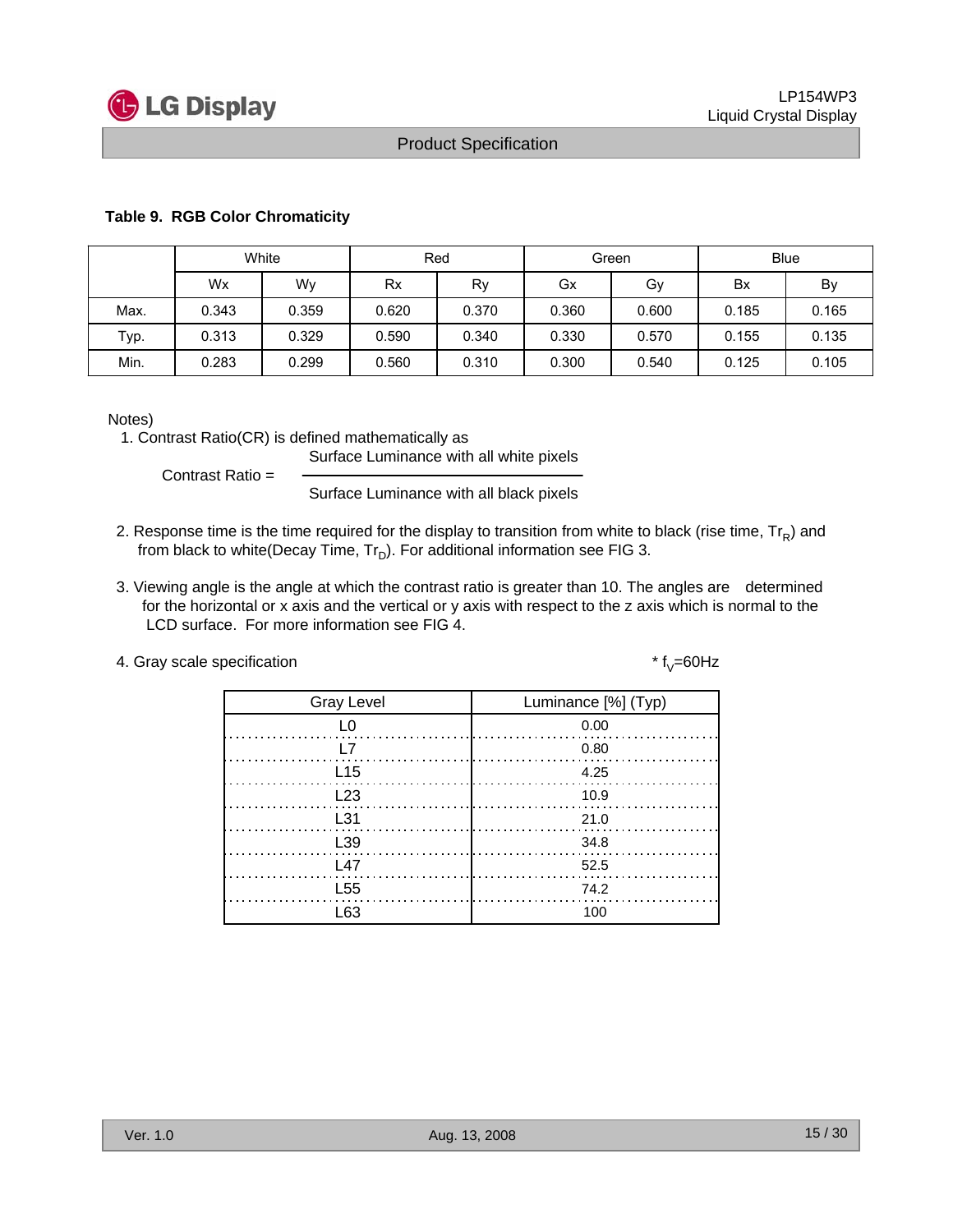

#### **Table 9. RGB Color Chromaticity**

|      | White |       |       | Red      |       | Green | <b>Blue</b> |       |  |
|------|-------|-------|-------|----------|-------|-------|-------------|-------|--|
|      | Wx    | Wy    |       | Rx<br>Rv |       | Gy    | Bx          | By    |  |
| Max. | 0.343 | 0.359 | 0.620 | 0.370    | 0.360 | 0.600 | 0.185       | 0.165 |  |
| Typ. | 0.313 | 0.329 | 0.590 | 0.340    | 0.330 | 0.570 | 0.155       | 0.135 |  |
| Min. | 0.283 | 0.299 | 0.560 | 0.310    | 0.300 | 0.540 | 0.125       | 0.105 |  |

Notes)

1. Contrast Ratio(CR) is defined mathematically as

Surface Luminance with all white pixels

Contrast Ratio =

Surface Luminance with all black pixels

- 2. Response time is the time required for the display to transition from white to black (rise time,  $Tr_R$ ) and from black to white(Decay Time,  $Tr_D$ ). For additional information see FIG 3.
- 3. Viewing angle is the angle at which the contrast ratio is greater than 10. The angles are determined for the horizontal or x axis and the vertical or y axis with respect to the z axis which is normal to the LCD surface. For more information see FIG 4.
- 4. Gray scale specification  $* f_V = 60 Hz$

| <b>Gray Level</b> | Luminance [%] (Typ) |
|-------------------|---------------------|
| L0                | 0.00                |
| I 7               | 0.80                |
| L <sub>15</sub>   | 4.25                |
| L23               | 10.9                |
| L31               | 21.0                |
| L39               | 34.8                |
| L47               | 52.5                |
| L <sub>55</sub>   | 74.2                |
| l 63              | 100                 |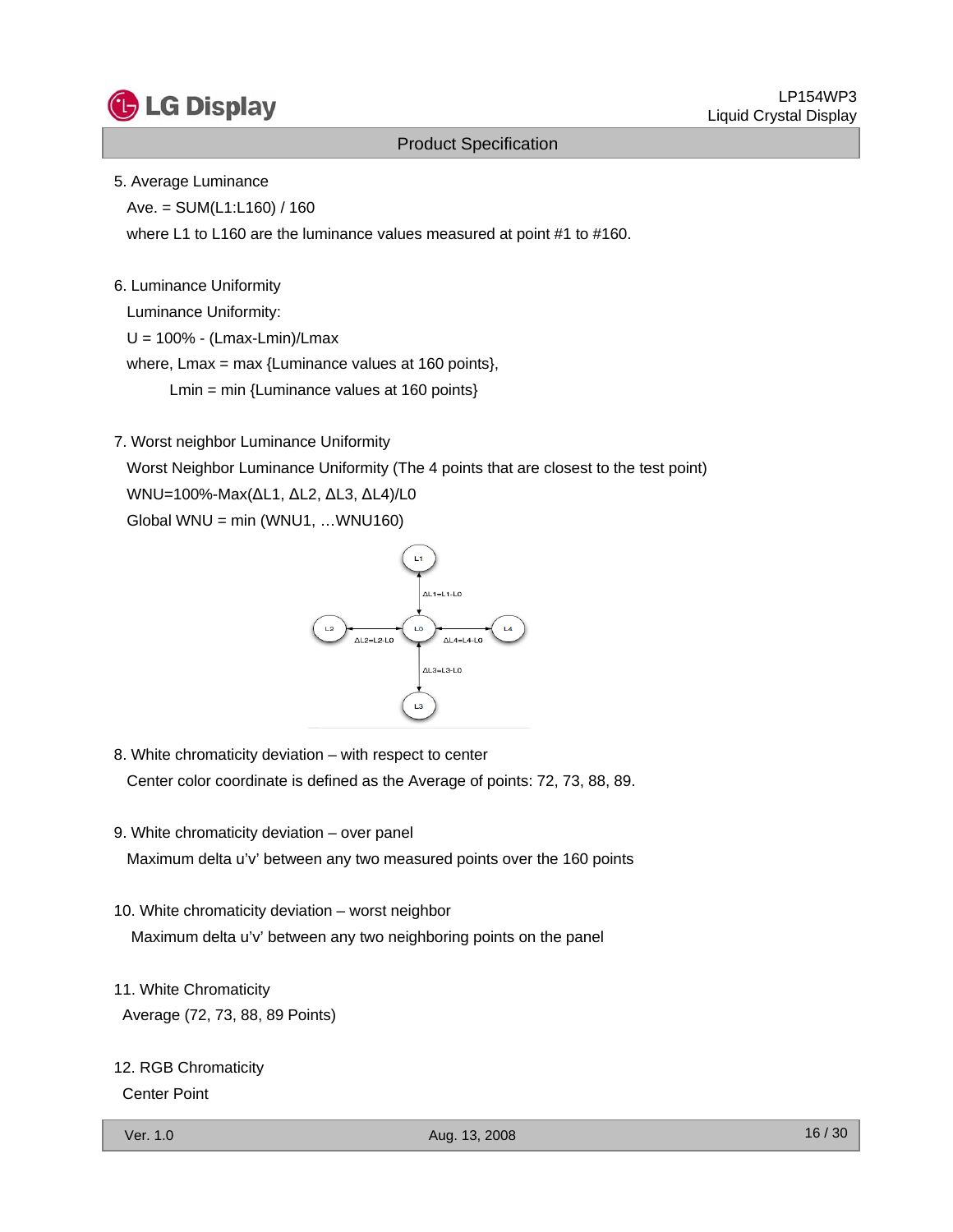

#### 5. Average Luminance

 $Ave. = SUM(L1:L160) / 160$ 

where L1 to L160 are the luminance values measured at point #1 to #160.

#### 6. Luminance Uniformity

Luminance Uniformity:

U = 100% - (Lmax-Lmin)/Lmax

where, Lmax = max {Luminance values at 160 points},

Lmin = min {Luminance values at 160 points}

7. Worst neighbor Luminance Uniformity

Worst Neighbor Luminance Uniformity (The 4 points that are closest to the test point) WNU=100%-Max(ΔL1, ΔL2, ΔL3, ΔL4)/L0  $Global WNU = min (WNU1, ... WNU160)$ 



- 8. White chromaticity deviation with respect to center Center color coordinate is defined as the Average of points: 72, 73, 88, 89.
- 9. White chromaticity deviation over panel

Maximum delta u'v' between any two measured points over the 160 points

- 10. White chromaticity deviation worst neighbor Maximum delta u'v' between any two neighboring points on the panel
- 11. White Chromaticity

Average (72, 73, 88, 89 Points)

#### 12. RGB Chromaticity

Center Point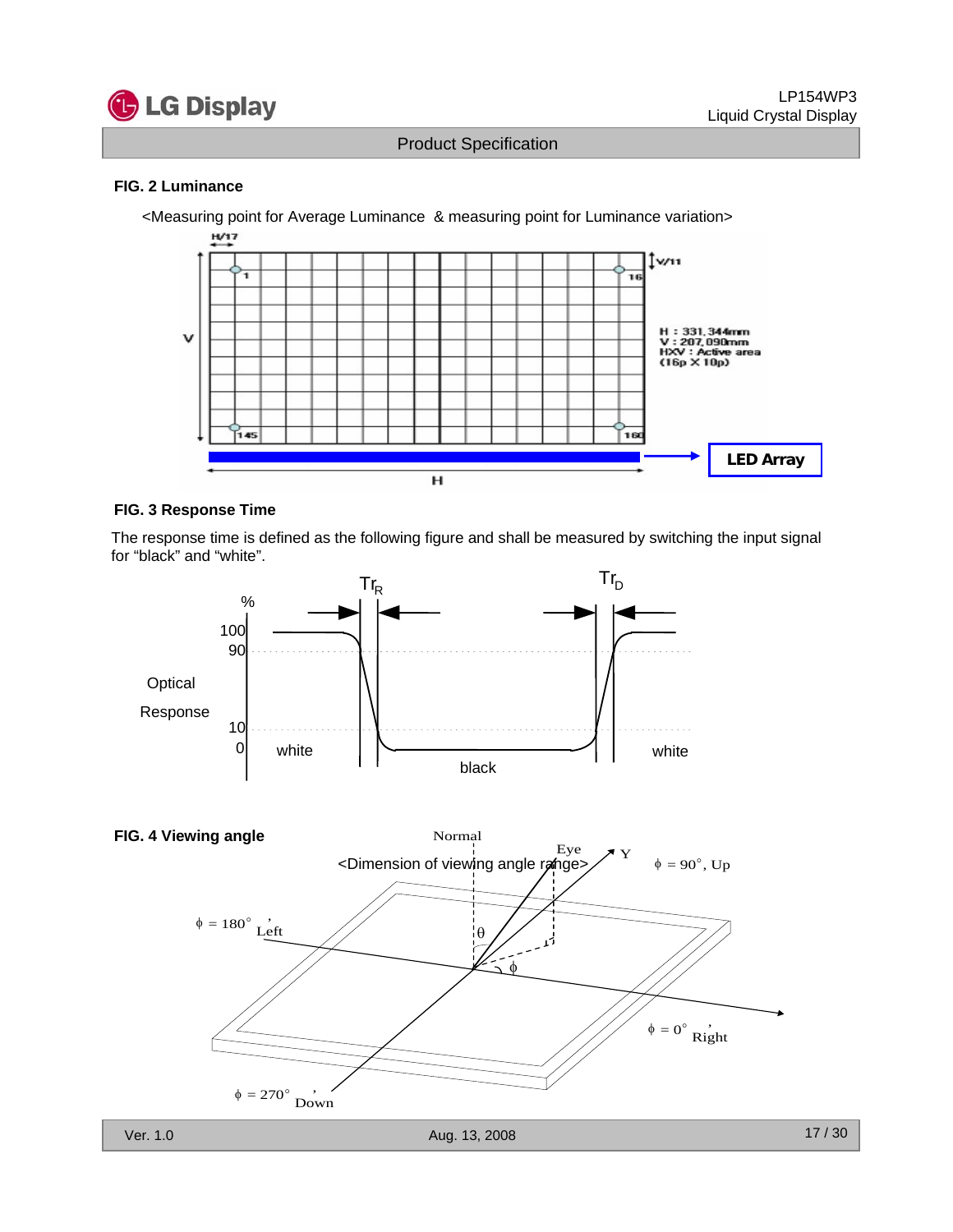

#### **FIG. 2 Luminance**

<Measuring point for Average Luminance & measuring point for Luminance variation> H/17 ן v/11 10 H:331, 344mm<br>V:207, 090mm<br>HXV:Active area<br>(16p X 10p) ν 45 160 **LED Array**н

#### **FIG. 3 Response Time**

The response time is defined as the following figure and shall be measured by switching the input signal for "black" and "white".



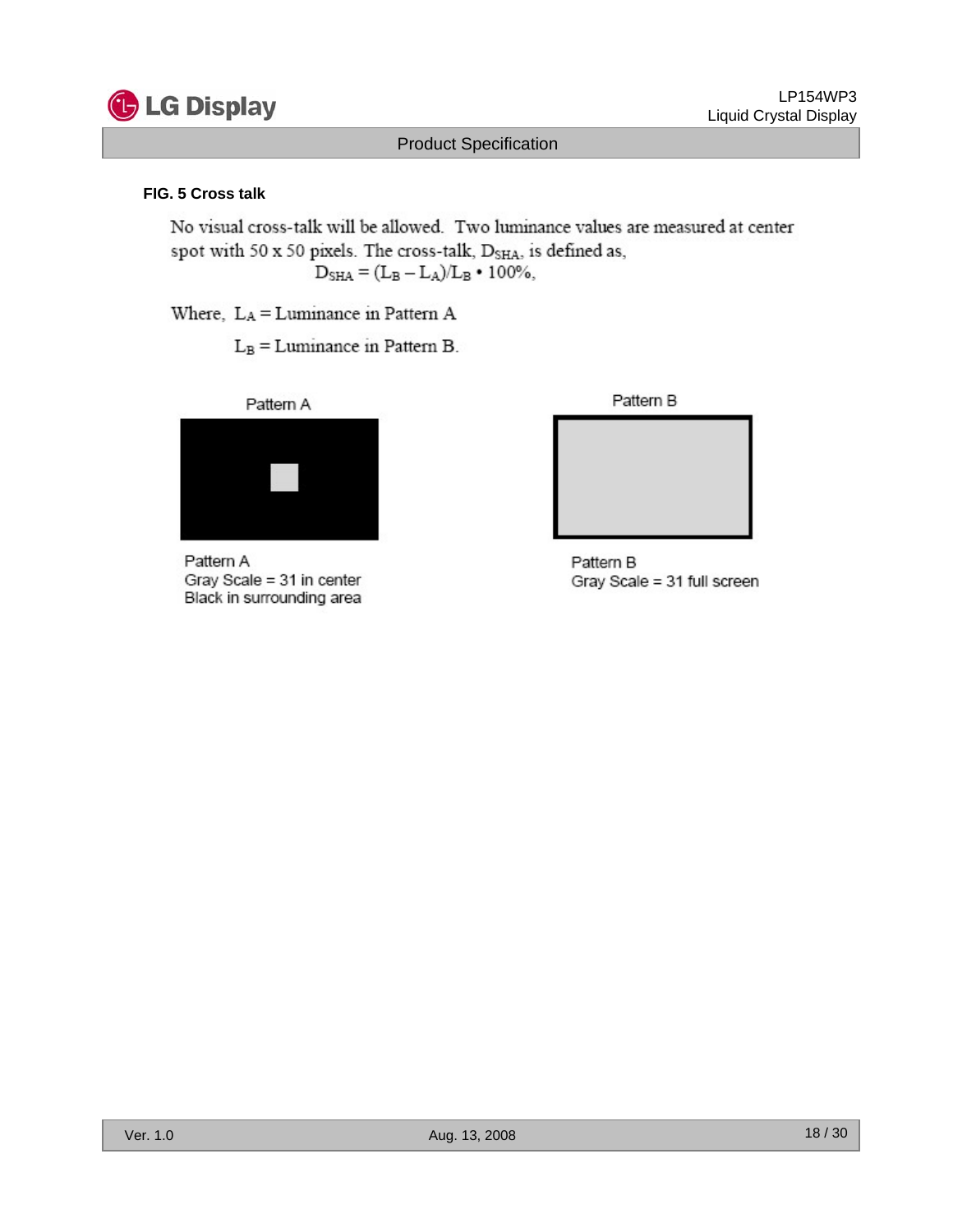

LP154WP3 Liquid Crystal Display

### Product Specification

#### **FIG. 5 Cross talk**

No visual cross-talk will be allowed. Two luminance values are measured at center spot with 50 x 50 pixels. The cross-talk, D<sub>SHA</sub>, is defined as,  $D_{\text{SHA}} = (L_B - L_A)/L_B \cdot 100\%,$ 

Where,  $L_A = L$ uminance in Pattern A

 $L_B =$ Luminance in Pattern B.



Pattern A Gray Scale = 31 in center Black in surrounding area



Pattern B Gray Scale = 31 full screen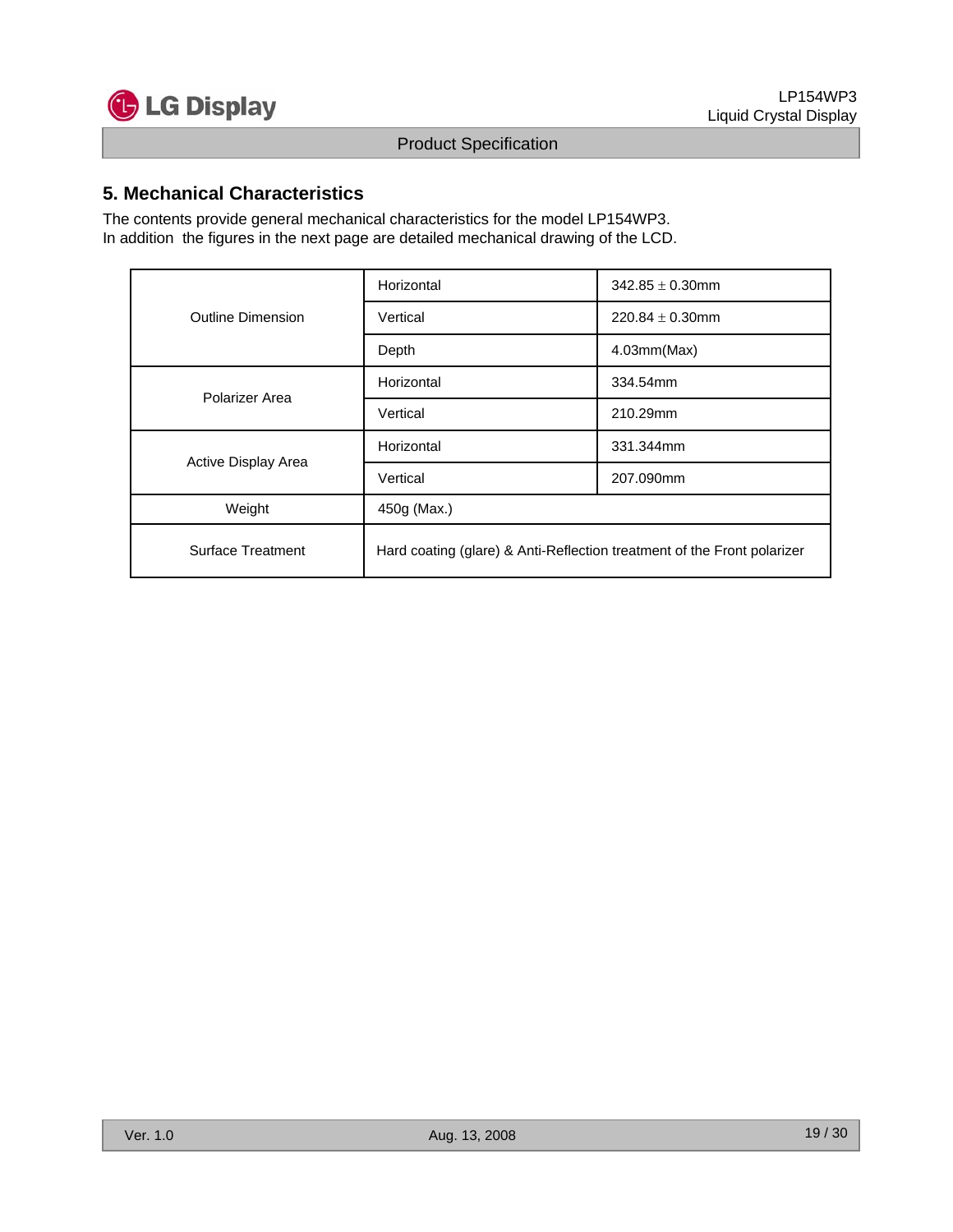

### **5. Mechanical Characteristics**

The contents provide general mechanical characteristics for the model LP154WP3. In addition the figures in the next page are detailed mechanical drawing of the LCD.

|                     | Horizontal                                                              | $342.85 \pm 0.30$ mm |  |  |  |  |
|---------------------|-------------------------------------------------------------------------|----------------------|--|--|--|--|
| Outline Dimension   | Vertical                                                                | $220.84 \pm 0.30$ mm |  |  |  |  |
|                     | Depth                                                                   | 4.03mm(Max)          |  |  |  |  |
| Polarizer Area      | Horizontal                                                              | 334.54mm             |  |  |  |  |
|                     | Vertical                                                                | 210.29mm             |  |  |  |  |
|                     | Horizontal                                                              | 331.344mm            |  |  |  |  |
| Active Display Area | Vertical                                                                | 207.090mm            |  |  |  |  |
| Weight              | 450g (Max.)                                                             |                      |  |  |  |  |
| Surface Treatment   | Hard coating (glare) & Anti-Reflection treatment of the Front polarizer |                      |  |  |  |  |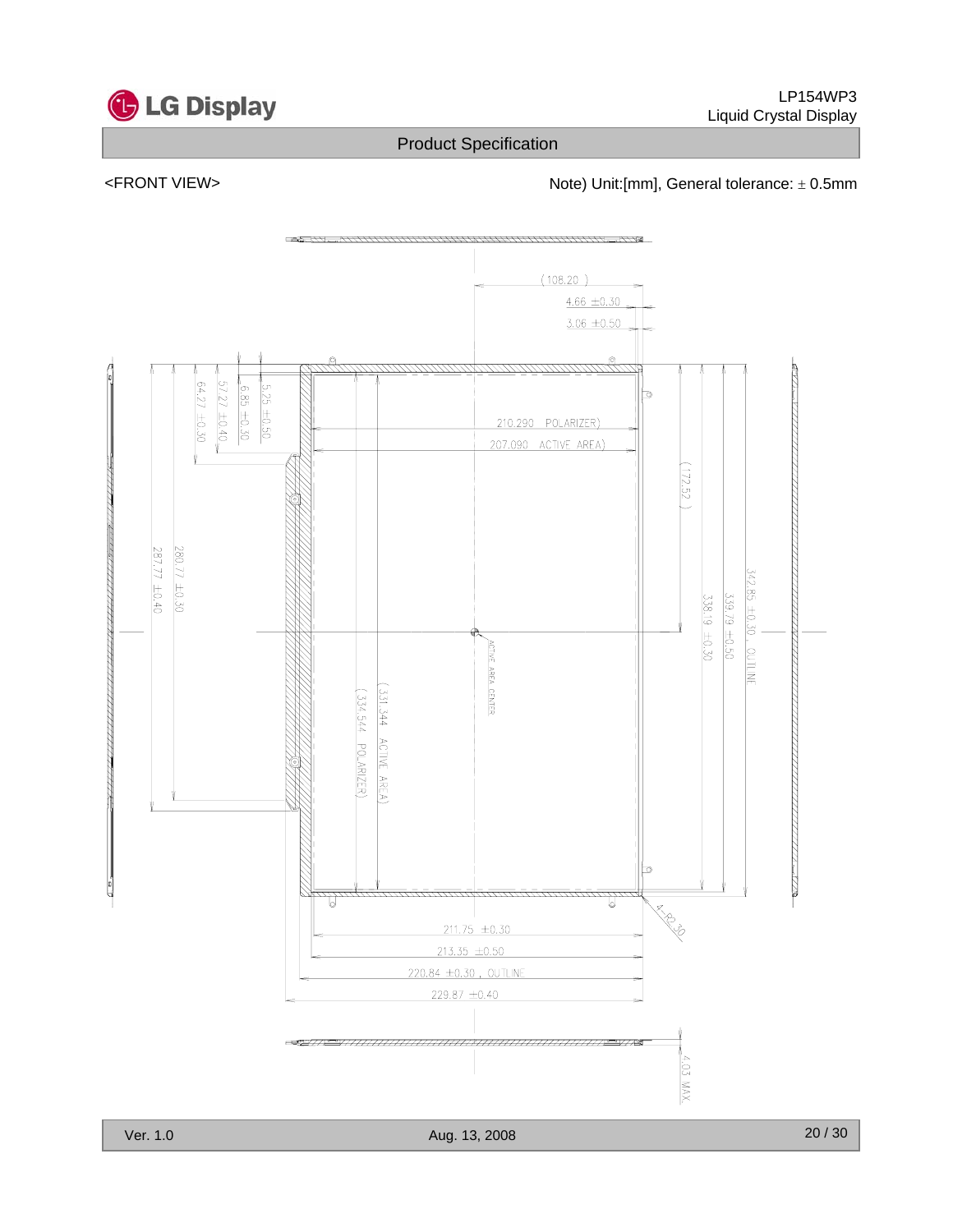

<FRONT VIEW>  $\blacksquare$  Note) Unit:[mm], General tolerance:  $\pm$  0.5mm

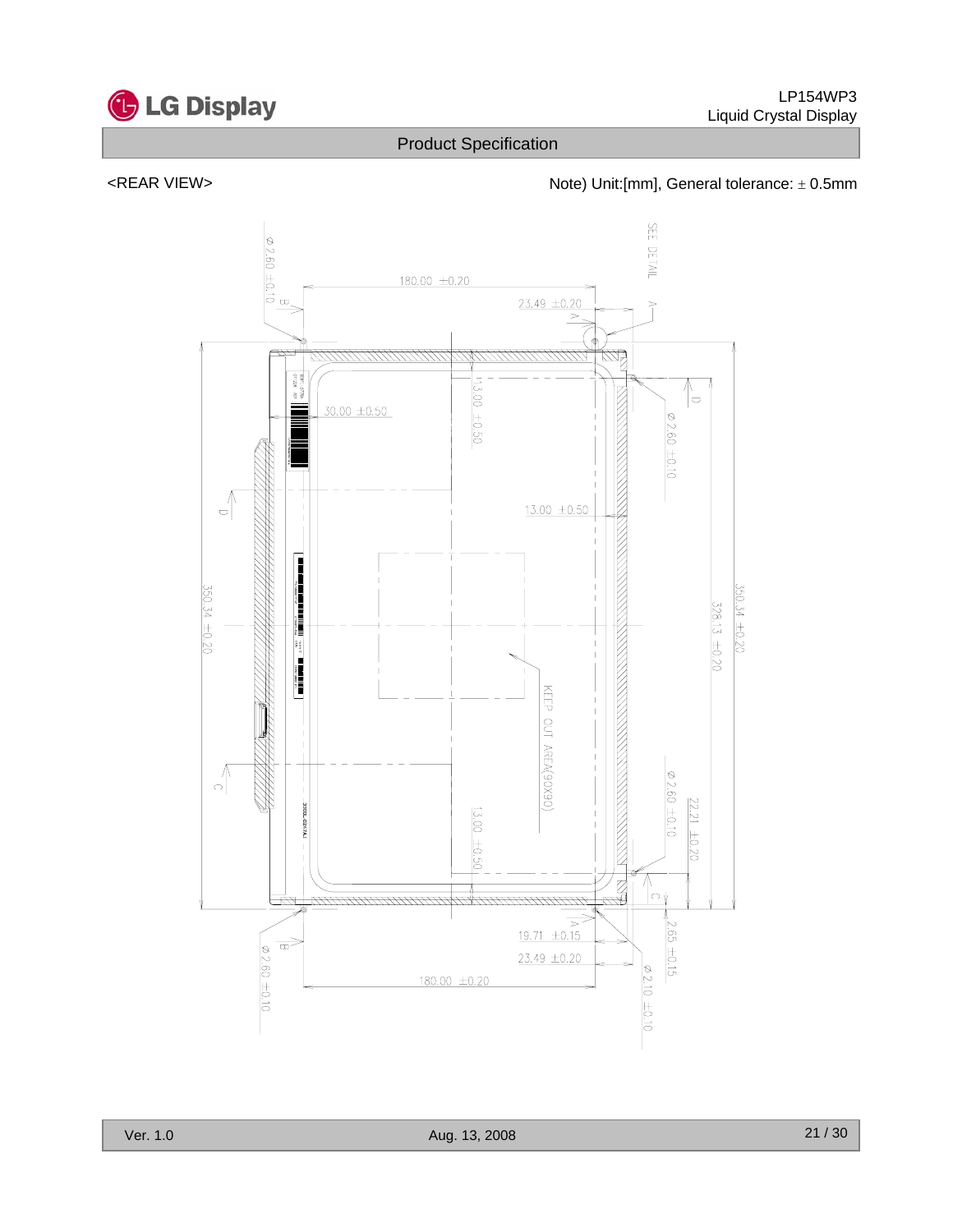

<REAR VIEW>  $\blacksquare$  Note) Unit:[mm], General tolerance:  $\pm$  0.5mm

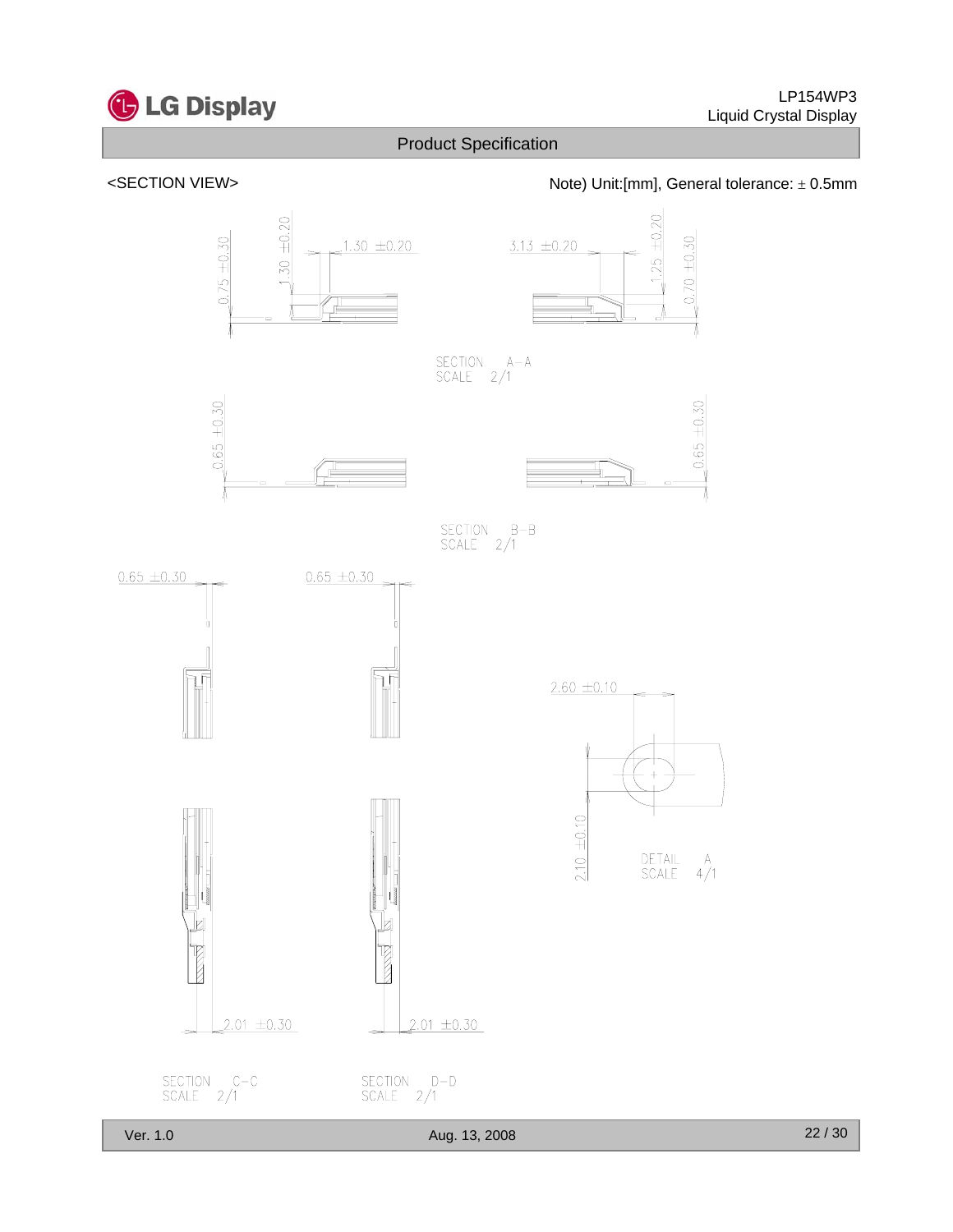



<SECTION VIEW> Note) Unit:[mm], General tolerance: ± 0.5mm

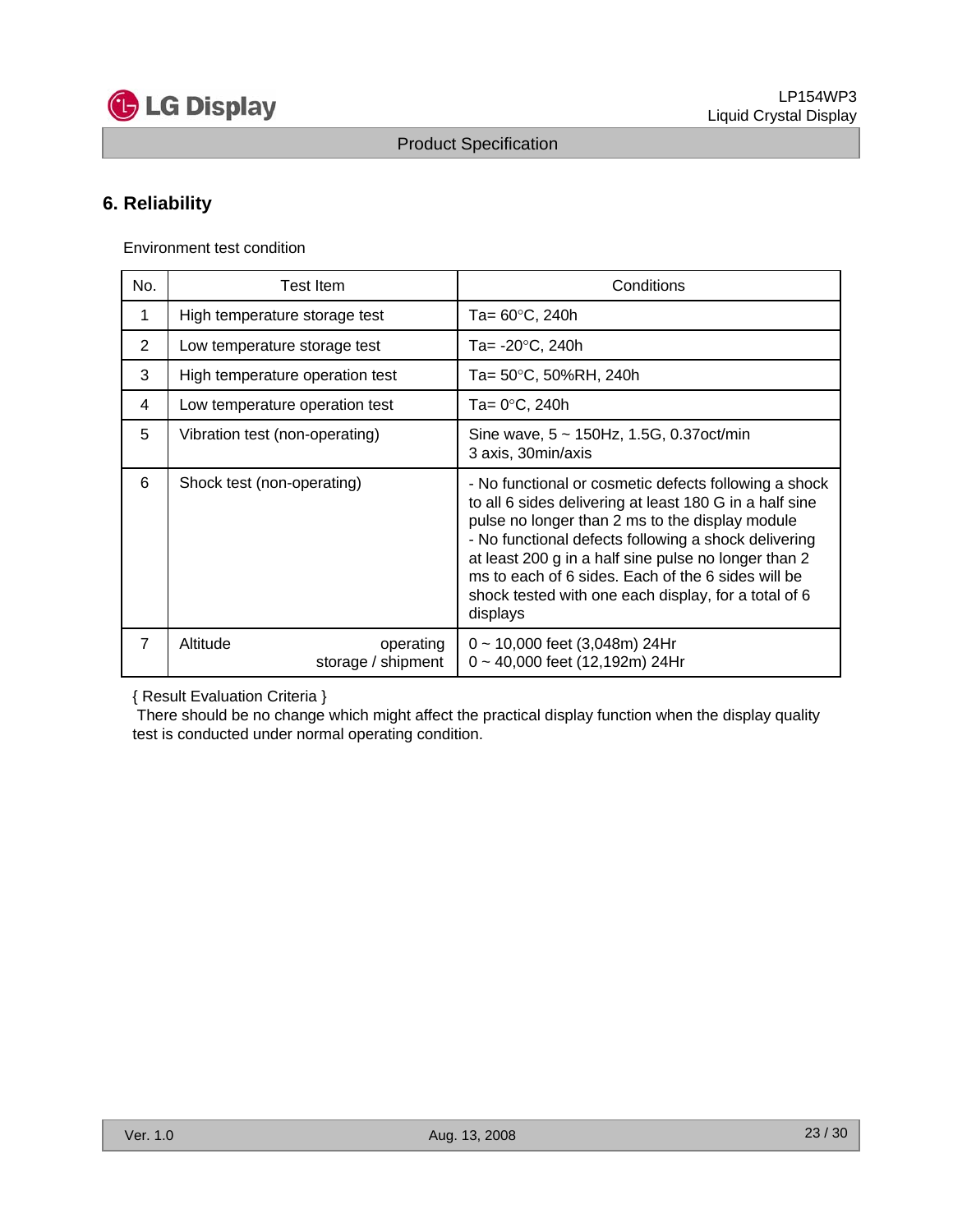

### **6. Reliability**

Environment test condition

| No.            | <b>Test Item</b>                            | Conditions                                                                                                                                                                                                                                                                                                                                                                                                    |
|----------------|---------------------------------------------|---------------------------------------------------------------------------------------------------------------------------------------------------------------------------------------------------------------------------------------------------------------------------------------------------------------------------------------------------------------------------------------------------------------|
| 1              | High temperature storage test               | Ta= 60°C, 240h                                                                                                                                                                                                                                                                                                                                                                                                |
| 2              | Low temperature storage test                | Ta= -20°C, 240h                                                                                                                                                                                                                                                                                                                                                                                               |
| 3              | High temperature operation test             | Ta= 50°C, 50%RH, 240h                                                                                                                                                                                                                                                                                                                                                                                         |
| 4              | Low temperature operation test              | Ta= 0°C, 240h                                                                                                                                                                                                                                                                                                                                                                                                 |
| 5              | Vibration test (non-operating)              | Sine wave, $5 \sim 150$ Hz, 1.5G, 0.37 oct/min<br>3 axis, 30min/axis                                                                                                                                                                                                                                                                                                                                          |
| 6              | Shock test (non-operating)                  | - No functional or cosmetic defects following a shock<br>to all 6 sides delivering at least 180 G in a half sine<br>pulse no longer than 2 ms to the display module<br>- No functional defects following a shock delivering<br>at least 200 g in a half sine pulse no longer than 2<br>ms to each of 6 sides. Each of the 6 sides will be<br>shock tested with one each display, for a total of 6<br>displays |
| $\overline{7}$ | Altitude<br>operating<br>storage / shipment | $0 \sim 10,000$ feet (3,048m) 24Hr<br>$0 \sim 40,000$ feet (12,192m) 24Hr                                                                                                                                                                                                                                                                                                                                     |

{ Result Evaluation Criteria }

There should be no change which might affect the practical display function when the display quality test is conducted under normal operating condition.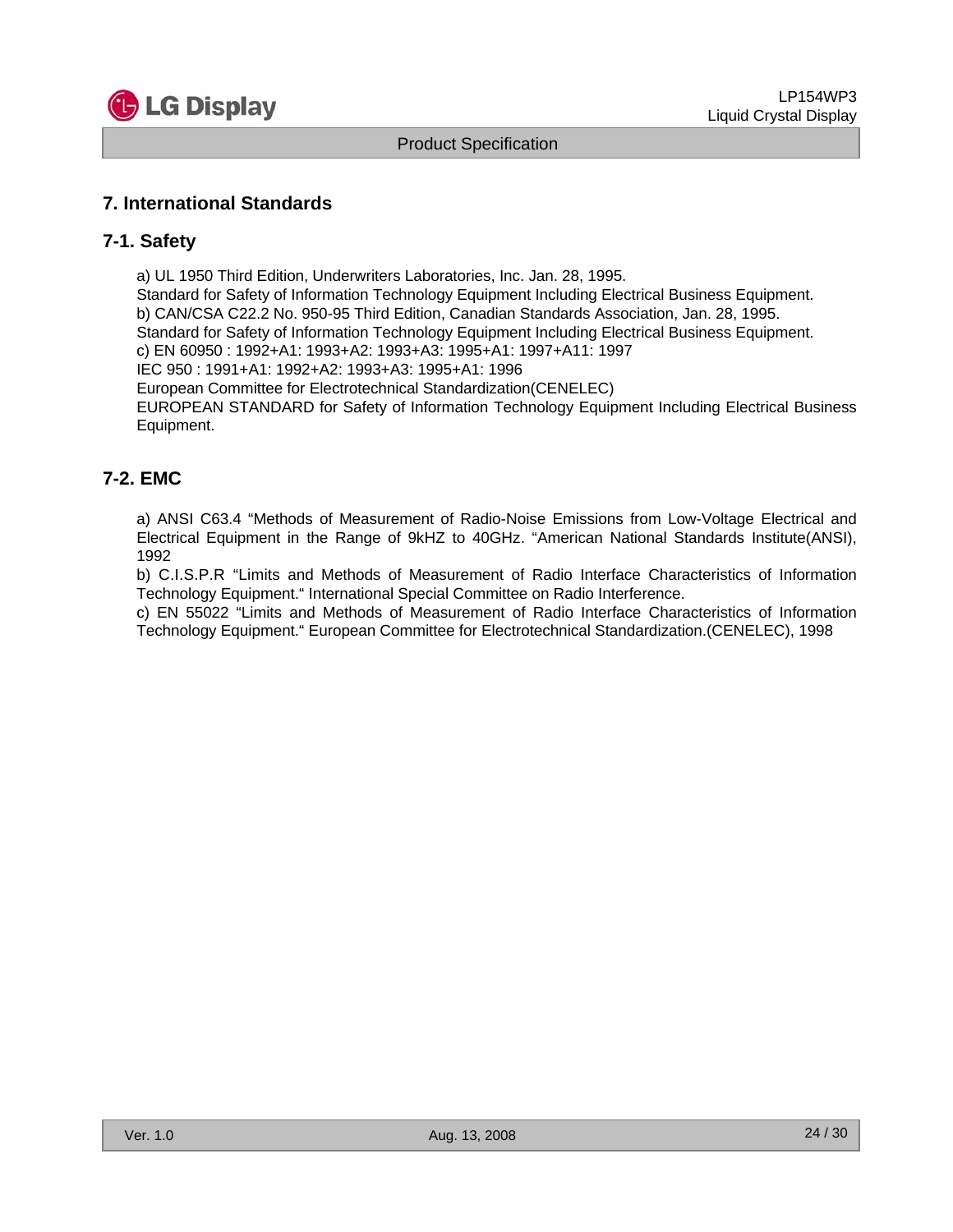

### **7. International Standards**

### **7-1. Safety**

a) UL 1950 Third Edition, Underwriters Laboratories, Inc. Jan. 28, 1995. Standard for Safety of Information Technology Equipment Including Electrical Business Equipment. b) CAN/CSA C22.2 No. 950-95 Third Edition, Canadian Standards Association, Jan. 28, 1995. Standard for Safety of Information Technology Equipment Including Electrical Business Equipment. c) EN 60950 : 1992+A1: 1993+A2: 1993+A3: 1995+A1: 1997+A11: 1997 IEC 950 : 1991+A1: 1992+A2: 1993+A3: 1995+A1: 1996 European Committee for Electrotechnical Standardization(CENELEC) EUROPEAN STANDARD for Safety of Information Technology Equipment Including Electrical Business Equipment.

### **7-2. EMC**

a) ANSI C63.4 "Methods of Measurement of Radio-Noise Emissions from Low-Voltage Electrical and Electrical Equipment in the Range of 9kHZ to 40GHz. "American National Standards Institute(ANSI), 1992

b) C.I.S.P.R "Limits and Methods of Measurement of Radio Interface Characteristics of Information Technology Equipment." International Special Committee on Radio Interference.

c) EN 55022 "Limits and Methods of Measurement of Radio Interface Characteristics of Information Technology Equipment." European Committee for Electrotechnical Standardization.(CENELEC), 1998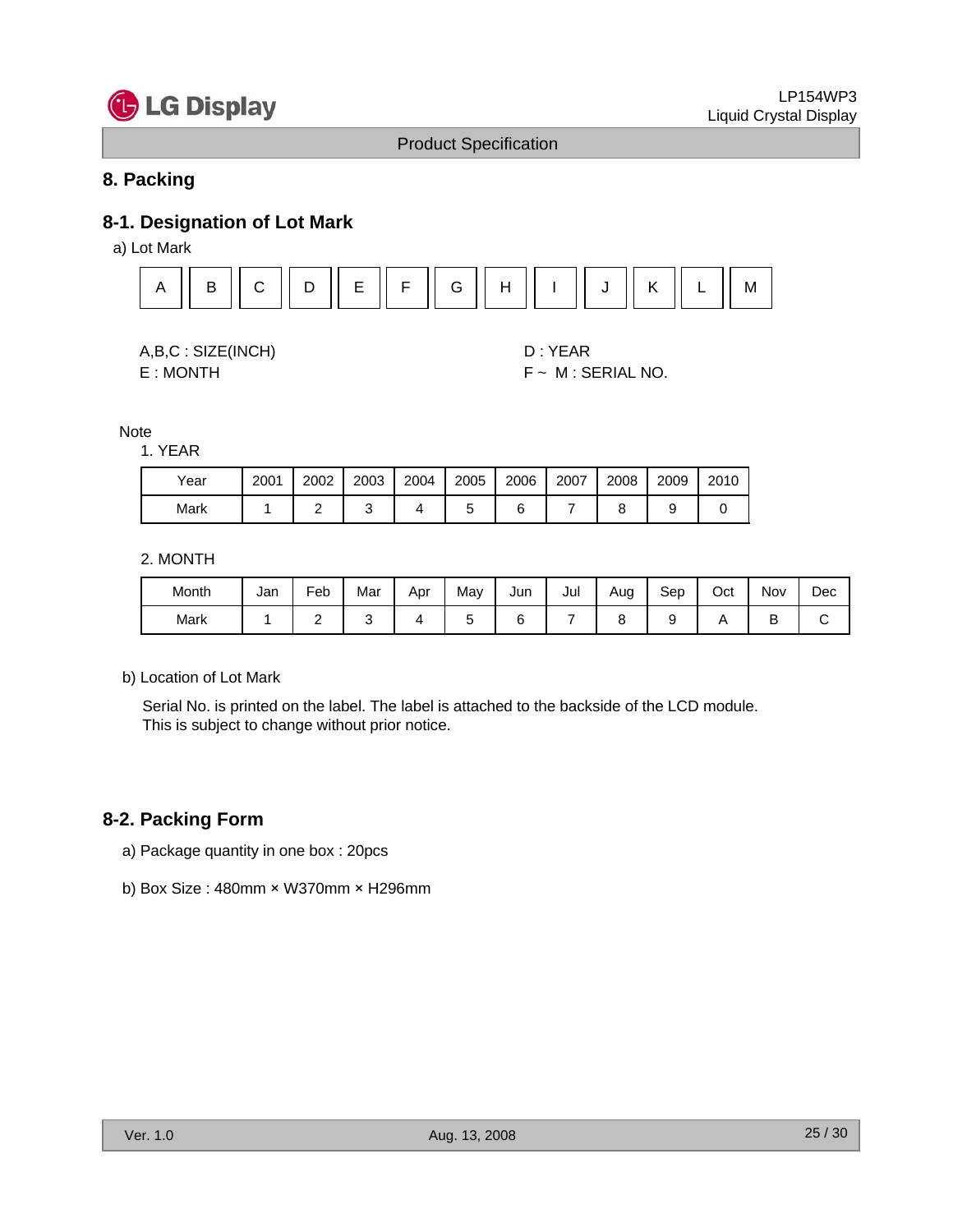

### **8. Packing**

### **8-1. Designation of Lot Mark**

a) Lot Mark



| A,B,C: SIZE(INCH) |  |
|-------------------|--|
|-------------------|--|

D : YEAR E : MONTH F ~ M : SERIAL NO.

Note

1. YEAR

| Year | 2001 | 2002 | 2003 | 2004 | 2005 | 2006 | 2007 | 2008 | 2009 | 2010 |
|------|------|------|------|------|------|------|------|------|------|------|
| Mark |      |      |      |      |      |      |      |      |      |      |

#### 2. MONTH

| Month | Jan | Feb                      | . .<br>Mar | Apr | May | Jun | Jul | Aug<br>- | Sep | Oct | Nov | Dec |
|-------|-----|--------------------------|------------|-----|-----|-----|-----|----------|-----|-----|-----|-----|
| Mark  |     | $\overline{\phantom{a}}$ |            |     |     |     |     |          |     |     |     |     |

b) Location of Lot Mark

Serial No. is printed on the label. The label is attached to the backside of the LCD module. This is subject to change without prior notice.

### **8-2. Packing Form**

- a) Package quantity in one box : 20pcs
- b) Box Size : 480mm × W370mm × H296mm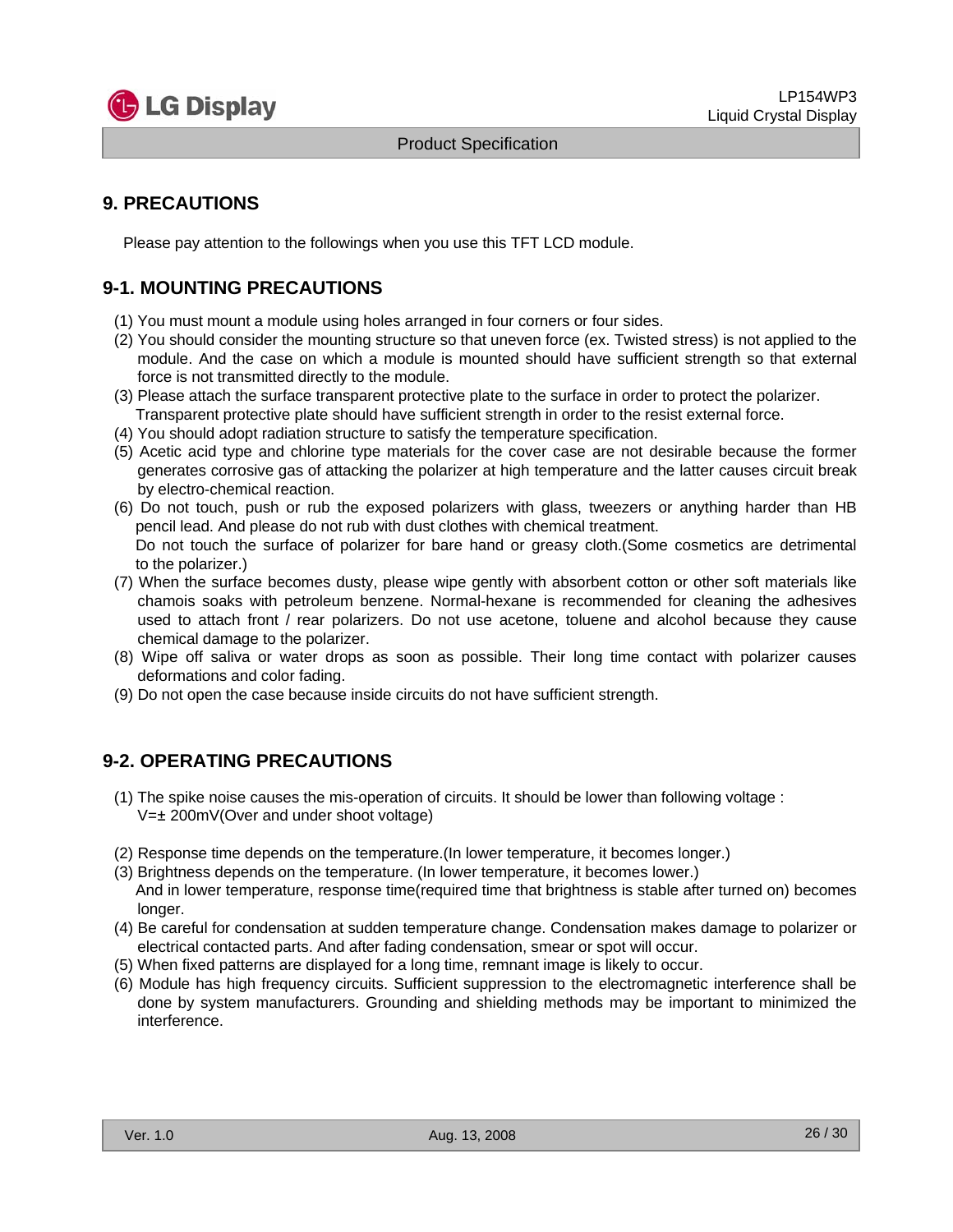

### **9. PRECAUTIONS**

Please pay attention to the followings when you use this TFT LCD module.

### **9-1. MOUNTING PRECAUTIONS**

- (1) You must mount a module using holes arranged in four corners or four sides.
- (2) You should consider the mounting structure so that uneven force (ex. Twisted stress) is not applied to the module. And the case on which a module is mounted should have sufficient strength so that external force is not transmitted directly to the module.
- (3) Please attach the surface transparent protective plate to the surface in order to protect the polarizer. Transparent protective plate should have sufficient strength in order to the resist external force.
- (4) You should adopt radiation structure to satisfy the temperature specification.
- (5) Acetic acid type and chlorine type materials for the cover case are not desirable because the former generates corrosive gas of attacking the polarizer at high temperature and the latter causes circuit break by electro-chemical reaction.
- (6) Do not touch, push or rub the exposed polarizers with glass, tweezers or anything harder than HB pencil lead. And please do not rub with dust clothes with chemical treatment. Do not touch the surface of polarizer for bare hand or greasy cloth.(Some cosmetics are detrimental to the polarizer.)
- (7) When the surface becomes dusty, please wipe gently with absorbent cotton or other soft materials like chamois soaks with petroleum benzene. Normal-hexane is recommended for cleaning the adhesives used to attach front / rear polarizers. Do not use acetone, toluene and alcohol because they cause chemical damage to the polarizer.
- (8) Wipe off saliva or water drops as soon as possible. Their long time contact with polarizer causes deformations and color fading.
- (9) Do not open the case because inside circuits do not have sufficient strength.

### **9-2. OPERATING PRECAUTIONS**

- (1) The spike noise causes the mis-operation of circuits. It should be lower than following voltage : V=± 200mV(Over and under shoot voltage)
- (2) Response time depends on the temperature.(In lower temperature, it becomes longer.)
- (3) Brightness depends on the temperature. (In lower temperature, it becomes lower.) And in lower temperature, response time(required time that brightness is stable after turned on) becomes longer.
- (4) Be careful for condensation at sudden temperature change. Condensation makes damage to polarizer or electrical contacted parts. And after fading condensation, smear or spot will occur.
- (5) When fixed patterns are displayed for a long time, remnant image is likely to occur.
- (6) Module has high frequency circuits. Sufficient suppression to the electromagnetic interference shall be done by system manufacturers. Grounding and shielding methods may be important to minimized the interference.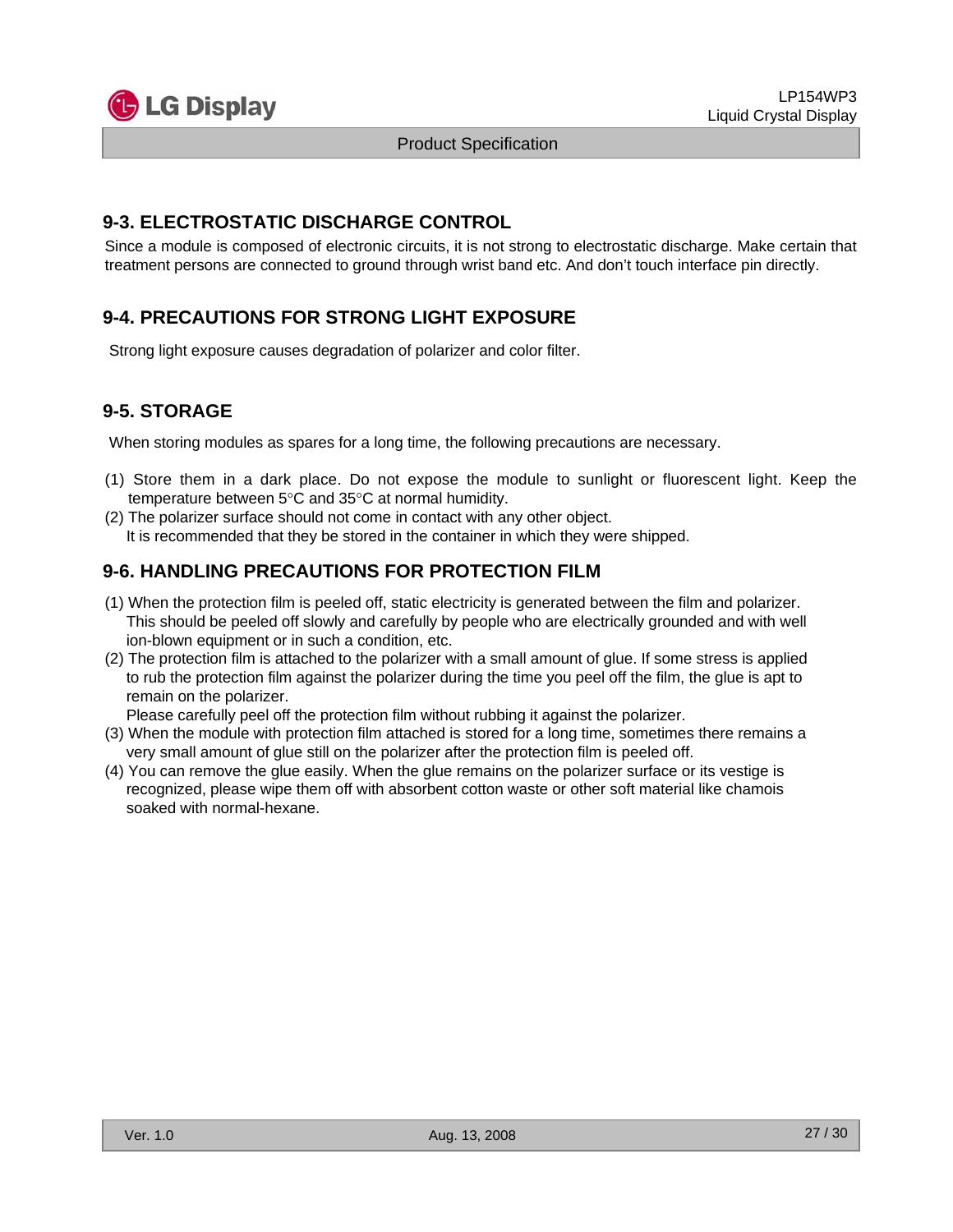

### **9-3. ELECTROSTATIC DISCHARGE CONTROL**

Since a module is composed of electronic circuits, it is not strong to electrostatic discharge. Make certain that treatment persons are connected to ground through wrist band etc. And don't touch interface pin directly.

### **9-4. PRECAUTIONS FOR STRONG LIGHT EXPOSURE**

Strong light exposure causes degradation of polarizer and color filter.

### **9-5. STORAGE**

When storing modules as spares for a long time, the following precautions are necessary.

- (1) Store them in a dark place. Do not expose the module to sunlight or fluorescent light. Keep the temperature between 5°C and 35°C at normal humidity.
- (2) The polarizer surface should not come in contact with any other object. It is recommended that they be stored in the container in which they were shipped.

### **9-6. HANDLING PRECAUTIONS FOR PROTECTION FILM**

- (1) When the protection film is peeled off, static electricity is generated between the film and polarizer. This should be peeled off slowly and carefully by people who are electrically grounded and with well ion-blown equipment or in such a condition, etc.
- (2) The protection film is attached to the polarizer with a small amount of glue. If some stress is applied to rub the protection film against the polarizer during the time you peel off the film, the glue is apt to remain on the polarizer.

Please carefully peel off the protection film without rubbing it against the polarizer.

- (3) When the module with protection film attached is stored for a long time, sometimes there remains a very small amount of glue still on the polarizer after the protection film is peeled off.
- (4) You can remove the glue easily. When the glue remains on the polarizer surface or its vestige is recognized, please wipe them off with absorbent cotton waste or other soft material like chamois soaked with normal-hexane.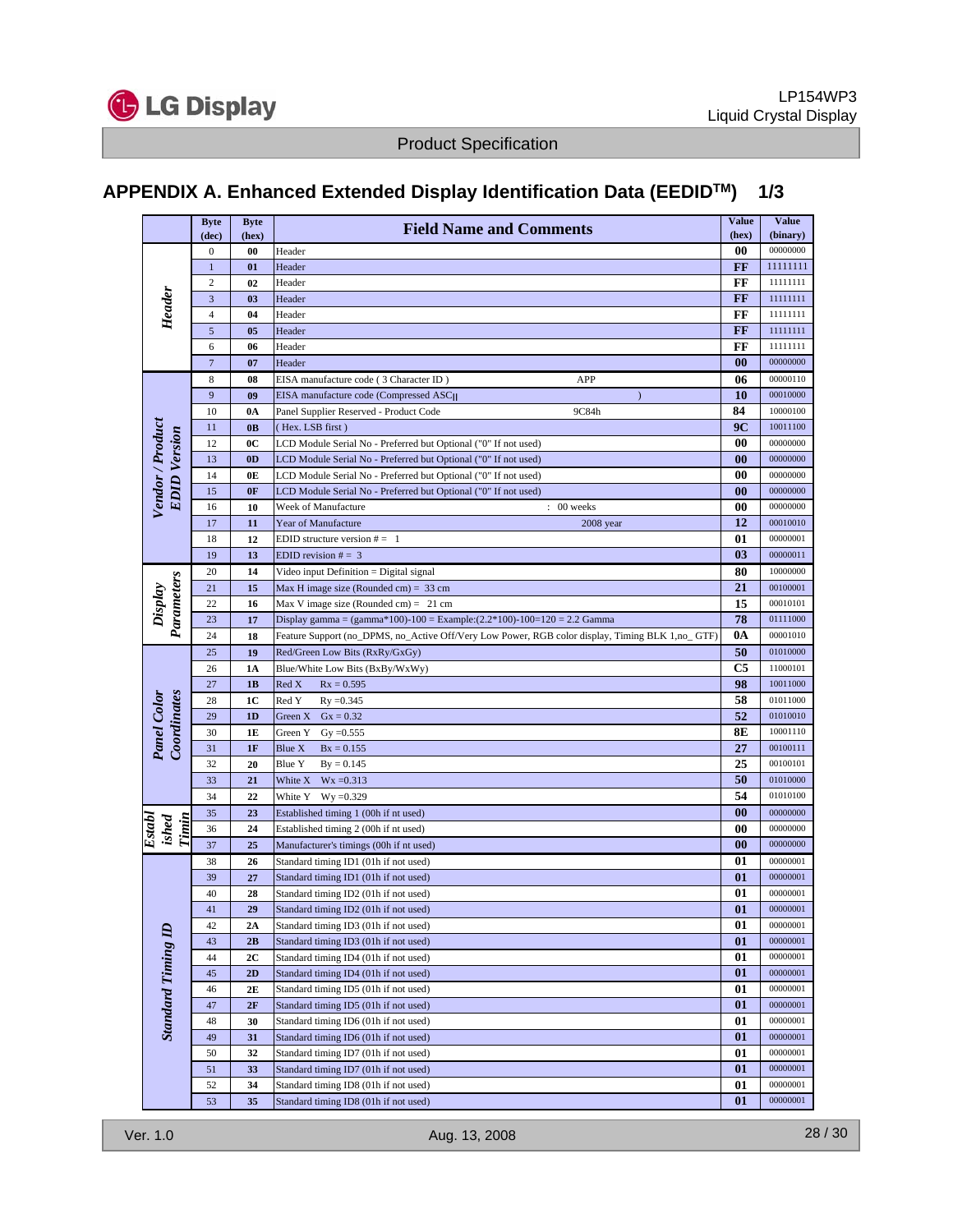

# **APPENDIX A. Enhanced Extended Display Identification Data (EEDIDTM) 1/3**

|                                         | <b>Byte</b>                    | <b>Byte</b>    | <b>Field Name and Comments</b>                                                                   | <b>Value</b>      | <b>Value</b>         |
|-----------------------------------------|--------------------------------|----------------|--------------------------------------------------------------------------------------------------|-------------------|----------------------|
|                                         | (dec)                          | (hex)          |                                                                                                  | (hex)             | (binary)             |
| Header                                  | $\mathbf{0}$                   | 00             | Header                                                                                           | 00                | 00000000             |
|                                         | $\mathbf{1}$<br>$\overline{c}$ | 01<br>02       | Header<br>Header                                                                                 | FF<br>FF          | 11111111<br>11111111 |
|                                         | 3                              | 0 <sub>3</sub> | Header                                                                                           | FF                | 11111111             |
|                                         | $\overline{4}$                 | 04             | Header                                                                                           | FF                | 11111111             |
|                                         | 5                              | 05             | Header                                                                                           | FF                | 11111111             |
|                                         | 6                              | 06             | Header                                                                                           | FF                | 11111111             |
|                                         | $\overline{7}$                 | 07             | Header                                                                                           | $\bf{00}$         | 00000000             |
|                                         | 8                              | 08             | APP<br>EISA manufacture code (3 Character ID)                                                    | 06                | 00000110             |
|                                         | 9                              | 09             | EISA manufacture code (Compressed ASCII<br>$\mathcal{E}$                                         | 10                | 00010000             |
|                                         | 10                             | 0A             | 9C84h<br>Panel Supplier Reserved - Product Code                                                  | 84                | 10000100             |
|                                         | 11                             | 0 <sub>B</sub> | (Hex. LSB first)                                                                                 | 9C                | 10011100             |
| Vendor / Product<br><b>EDID</b> Version | 12                             | 0 <sup>C</sup> | LCD Module Serial No - Preferred but Optional ("0" If not used)                                  | 00                | 00000000             |
|                                         | 13                             | 0 <sub>D</sub> | LCD Module Serial No - Preferred but Optional ("0" If not used)                                  | 00                | 00000000             |
|                                         | 14                             | 0E             | LCD Module Serial No - Preferred but Optional ("0" If not used)                                  | 00                | 00000000             |
|                                         | 15                             | 0F             | LCD Module Serial No - Preferred but Optional ("0" If not used)                                  | 00                | 00000000             |
|                                         | 16                             | 10             | $: 00$ weeks<br>Week of Manufacture                                                              | 00                | 00000000             |
|                                         | 17                             | 11             | Year of Manufacture<br>2008 year                                                                 | 12                | 00010010             |
|                                         | 18                             | 12             | EDID structure version $# = 1$                                                                   | 01                | 00000001             |
|                                         | 19                             | 13             | EDID revision $# = 3$                                                                            | 03                | 00000011             |
|                                         | 20                             | 14             | Video input Definition = Digital signal                                                          | 80                | 10000000             |
|                                         | 21                             | 15             | Max H image size (Rounded cm) = $33$ cm                                                          | 21                | 00100001             |
| Display<br>Parameters                   | 22                             | 16             | Max V image size (Rounded cm) = $21$ cm                                                          | 15                | 00010101             |
|                                         | 23                             | 17             | Display gamma = $(gamma*100)-100$ = Example: $(2.2*100)-100=120$ = 2.2 Gamma                     | 78                | 01111000<br>00001010 |
|                                         | 24                             | 18             | Feature Support (no_DPMS, no_Active Off/Very Low Power, RGB color display, Timing BLK 1,no_ GTF) | 0A                | 01010000             |
|                                         | 25<br>26                       | 19<br>1A       | Red/Green Low Bits (RxRy/GxGy)<br>Blue/White Low Bits (BxBy/WxWy)                                | 50<br>C5          | 11000101             |
|                                         | 27                             | 1B             | Red X<br>$Rx = 0.595$                                                                            | 98                | 10011000             |
|                                         | 28                             | 1C             | Red Y<br>$Ry = 0.345$                                                                            | 58                | 01011000             |
| Coordinates<br>Panel Color              | 29                             | 1D             | Green X<br>$Gx = 0.32$                                                                           | 52                | 01010010             |
|                                         | 30                             | 1E             | $Gy = 0.555$<br>Green Y                                                                          | 8E                | 10001110             |
|                                         | 31                             | 1F             | Blue X<br>$Bx = 0.155$                                                                           | 27                | 00100111             |
|                                         | 32                             | 20             | <b>Blue Y</b><br>$By = 0.145$                                                                    | 25                | 00100101             |
|                                         | 33                             | 21             | $Wx = 0.313$<br>White X                                                                          | 50                | 01010000             |
|                                         | 34                             | 22             | White Y<br>$Wy = 0.329$                                                                          | 54                | 01010100             |
|                                         | 35                             | 23             | Established timing 1 (00h if nt used)                                                            | $\bf{00}$         | 00000000             |
| Establ<br>Timin<br>ished                | 36                             | 24             | Established timing 2 (00h if nt used)                                                            | 00                | 00000000             |
|                                         | 37                             | 25             | Manufacturer's timings (00h if nt used)                                                          | $\boldsymbol{00}$ | 00000000             |
|                                         | 38                             | 26             | Standard timing ID1 (01h if not used)                                                            | 01                | 00000001             |
|                                         | 39                             | 27             | Standard timing ID1 (01h if not used)                                                            | 01                | 00000001             |
|                                         | 40                             | 28             | Standard timing ID2 (01h if not used)                                                            | 01                | 00000001             |
|                                         | 41                             | 29             | Standard timing ID2 (01h if not used)                                                            | 01                | 00000001             |
|                                         | 42                             | 2A             | Standard timing ID3 (01h if not used)                                                            | 01                | 00000001             |
| <b>Standard Timing ID</b>               | 43                             | 2B             | Standard timing ID3 (01h if not used)                                                            | 01                | 00000001             |
|                                         | 44                             | 2C             | Standard timing ID4 (01h if not used)                                                            | 01                | 00000001             |
|                                         | 45                             | 2D             | Standard timing ID4 (01h if not used)                                                            | 01                | 00000001             |
|                                         | 46                             | 2E             | Standard timing ID5 (01h if not used)                                                            | 01                | 00000001             |
|                                         | 47                             | 2F             | Standard timing ID5 (01h if not used)<br>Standard timing ID6 (01h if not used)                   | $\bf{01}$         | 00000001<br>00000001 |
|                                         | 48<br>49                       | 30             | Standard timing ID6 (01h if not used)                                                            | 01<br>01          | 00000001             |
|                                         | 50                             | 31<br>32       | Standard timing ID7 (01h if not used)                                                            | 01                | 00000001             |
|                                         | 51                             | 33             | Standard timing ID7 (01h if not used)                                                            | 01                | 00000001             |
|                                         | 52                             | 34             | Standard timing ID8 (01h if not used)                                                            | 01                | 00000001             |
|                                         | 53                             | 35             | Standard timing ID8 (01h if not used)                                                            | 01                | 00000001             |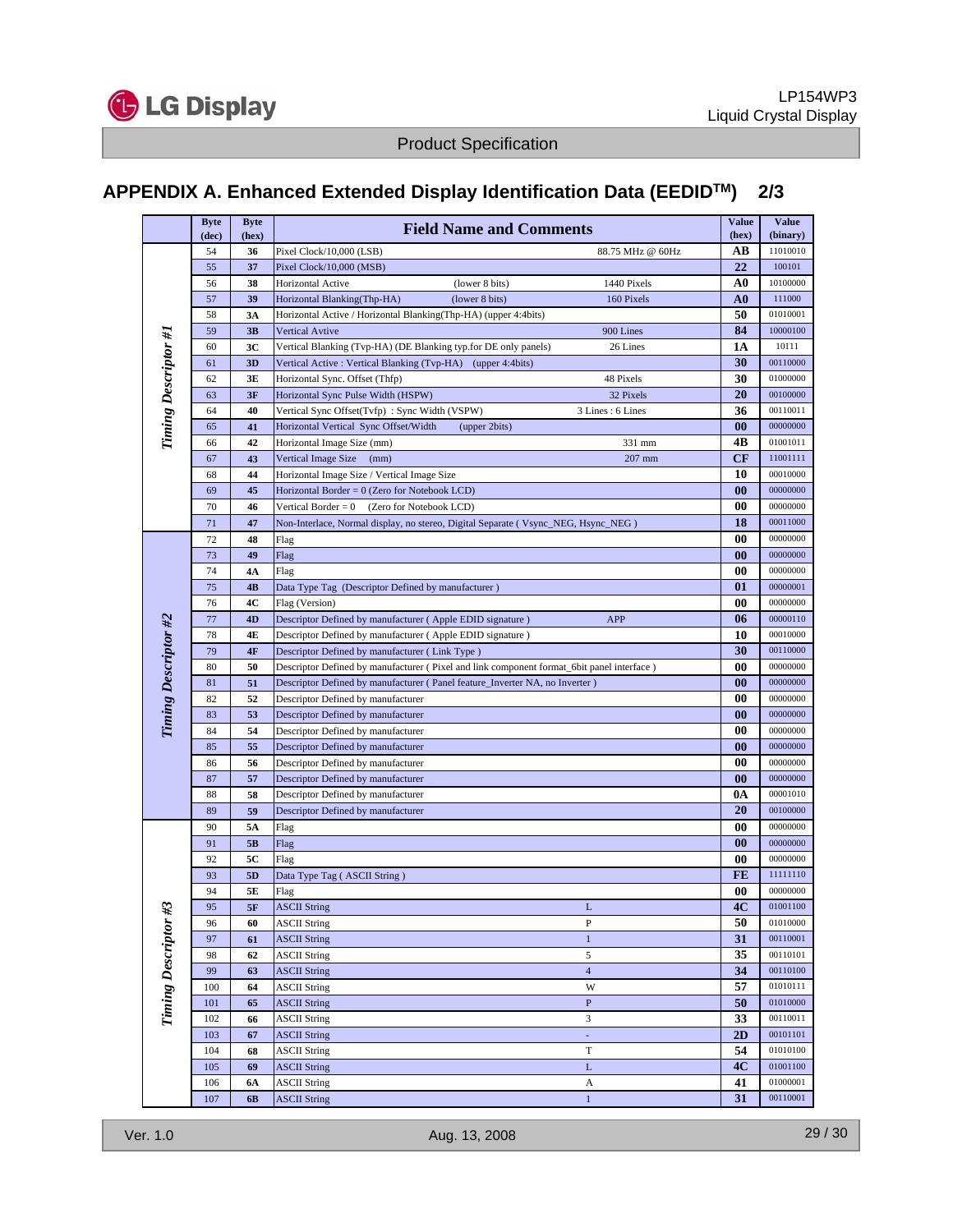

# **APPENDIX A. Enhanced Extended Display Identification Data (EEDIDTM) 2/3**

|                             | <b>Byte</b> | <b>Byte</b> | <b>Field Name and Comments</b>                                                                                   | <b>Value</b>      | <b>Value</b>         |
|-----------------------------|-------------|-------------|------------------------------------------------------------------------------------------------------------------|-------------------|----------------------|
|                             | (dec)       | (hex)       |                                                                                                                  | (hex)             | (binary)<br>11010010 |
|                             | 54          | 36          | 88.75 MHz @ 60Hz<br>Pixel Clock/10,000 (LSB)                                                                     | AВ<br>22          |                      |
|                             | 55          | 37          | Pixel Clock/10,000 (MSB)                                                                                         | A0                | 100101<br>10100000   |
|                             | 56<br>57    | 38<br>39    | (lower 8 bits)<br>Horizontal Active<br>1440 Pixels<br>160 Pixels                                                 | A0                | 111000               |
|                             | 58          | 3A          | Horizontal Blanking(Thp-HA)<br>(lower 8 bits)<br>Horizontal Active / Horizontal Blanking(Thp-HA) (upper 4:4bits) | 50                | 01010001             |
|                             | 59          | 3B          | 900 Lines<br>Vertical Avtive                                                                                     | 84                | 10000100             |
|                             | 60          | 3C          | 26 Lines<br>Vertical Blanking (Tvp-HA) (DE Blanking typ.for DE only panels)                                      | 1A                | 10111                |
|                             | 61          | 3D          | Vertical Active: Vertical Blanking (Tvp-HA) (upper 4:4bits)                                                      | 30                | 00110000             |
|                             | 62          | 3E          | Horizontal Sync. Offset (Thfp)<br>48 Pixels                                                                      | 30                | 01000000             |
|                             | 63          | 3F          | Horizontal Sync Pulse Width (HSPW)<br>32 Pixels                                                                  | 20                | 00100000             |
|                             | 64          | 40          | 3 Lines: 6 Lines<br>Vertical Sync Offset(Tvfp): Sync Width (VSPW)                                                | 36                | 00110011             |
| <b>Timing Descriptor #1</b> | 65          | 41          | Horizontal Vertical Sync Offset/Width<br>(upper 2bits)                                                           | $\bf{00}$         | 00000000             |
|                             | 66          | 42          | 331 mm<br>Horizontal Image Size (mm)                                                                             | 4В                | 01001011             |
|                             | 67          | 43          | 207 mm<br>Vertical Image Size<br>(mm)                                                                            | CF                | 11001111             |
|                             | 68          | 44          | Horizontal Image Size / Vertical Image Size                                                                      | 10                | 00010000             |
|                             | 69          | 45          | Horizontal Border = 0 (Zero for Notebook LCD)                                                                    | $\boldsymbol{00}$ | 00000000             |
|                             | 70          | 46          | Vertical Border = 0<br>(Zero for Notebook LCD)                                                                   | 00                | 00000000             |
|                             | 71          | 47          | Non-Interlace, Normal display, no stereo, Digital Separate (Vsync_NEG, Hsync_NEG)                                | 18                | 00011000             |
|                             | 72          | 48          | Flag                                                                                                             | 00                | 00000000             |
|                             | 73          | 49          | Flag                                                                                                             | $\boldsymbol{00}$ | 00000000             |
|                             | 74          | 4Α          | Flag                                                                                                             | 00                | 00000000             |
|                             | 75          | 4B          | Data Type Tag (Descriptor Defined by manufacturer)                                                               | 01                | 00000001             |
|                             | 76          | 4C          | Flag (Version)                                                                                                   | 00                | 00000000             |
|                             | 77          | 4D          | Descriptor Defined by manufacturer (Apple EDID signature)<br>APP                                                 | 06                | 00000110             |
|                             | 78          | 4E          | Descriptor Defined by manufacturer (Apple EDID signature)                                                        | 10                | 00010000             |
|                             | 79          | 4F          | Descriptor Defined by manufacturer (Link Type)                                                                   | 30                | 00110000             |
| Timing Descriptor #2        | 80          | 50          | Descriptor Defined by manufacturer (Pixel and link component format_6bit panel interface)                        | $\boldsymbol{00}$ | 00000000             |
|                             | 81          | 51          | Descriptor Defined by manufacturer (Panel feature_Inverter NA, no Inverter)                                      | $\boldsymbol{00}$ | 00000000             |
|                             | 82          | 52          | Descriptor Defined by manufacturer                                                                               | 00                | 00000000             |
|                             | 83          | 53          | Descriptor Defined by manufacturer                                                                               | $\bf{00}$         | 00000000             |
|                             | 84          | 54          | Descriptor Defined by manufacturer                                                                               | 00                | 00000000             |
|                             | 85          | 55          | Descriptor Defined by manufacturer                                                                               | $\bf{00}$         | 00000000             |
|                             | 86          | 56          | Descriptor Defined by manufacturer                                                                               | 00                | 00000000             |
|                             | 87          | 57          | Descriptor Defined by manufacturer                                                                               | $\boldsymbol{00}$ | 00000000             |
|                             | 88          | 58          | Descriptor Defined by manufacturer                                                                               | 0A                | 00001010             |
|                             | 89          | 59          | Descriptor Defined by manufacturer                                                                               | 20                | 00100000             |
|                             | 90          | 5A          | Flag                                                                                                             | 00                | 00000000             |
|                             | 91          | 5B          | Flag                                                                                                             | $\bf{00}$         | 00000000             |
|                             | 92          | 5C          | Flag                                                                                                             | 00                | 00000000             |
|                             | 93          | 5D          | Data Type Tag (ASCII String)                                                                                     | FE                | 11111110             |
|                             | 94          | 5Ε          | Flag                                                                                                             | $\boldsymbol{00}$ | 00000000             |
|                             | 95          | 5F          | <b>ASCII String</b><br>L                                                                                         | 4C                | 01001100<br>01010000 |
|                             | 96<br>97    | 60<br>61    | <b>ASCII String</b><br>P<br>$\mathbf{1}$                                                                         | 50<br>31          | 00110001             |
|                             | 98          | 62          | <b>ASCII String</b>                                                                                              | 35                | 00110101             |
|                             | 99          | 63          | <b>ASCII String</b><br>$\sqrt{5}$<br>$\overline{4}$<br><b>ASCII String</b>                                       | 34                | 00110100             |
|                             | 100         | 64          | W<br><b>ASCII String</b>                                                                                         | 57                | 01010111             |
|                             | 101         | 65          | <b>ASCII String</b><br>$\, {\bf P}$                                                                              | 50                | 01010000             |
| Timing Descriptor #3        | 102         | 66          | 3<br><b>ASCII String</b>                                                                                         | 33                | 00110011             |
|                             | 103         | 67          | <b>ASCII String</b><br>÷,                                                                                        | $\overline{2D}$   | 00101101             |
|                             | 104         | 68          | $\mathbf T$<br><b>ASCII String</b>                                                                               | 54                | 01010100             |
|                             | 105         | 69          | <b>ASCII String</b><br>$\mathbf L$                                                                               | 4C                | 01001100             |
|                             | 106         | 6A          | <b>ASCII String</b><br>A                                                                                         | 41                | 01000001             |
|                             | 107         | 6 <b>B</b>  | $\mathbf{1}$<br><b>ASCII String</b>                                                                              | $\overline{31}$   | 00110001             |